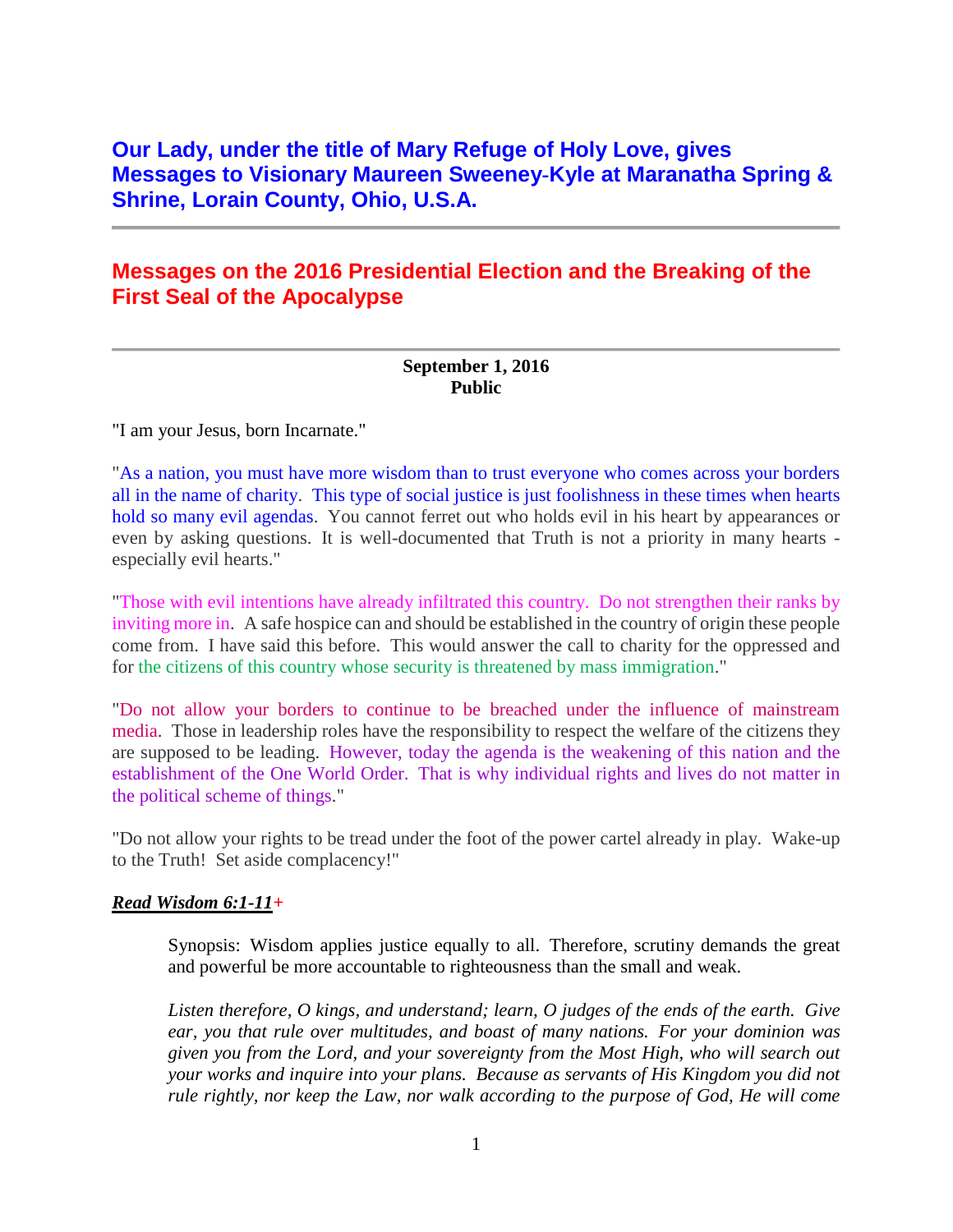# **Our Lady, under the title of Mary Refuge of Holy Love, gives Messages to Visionary Maureen Sweeney-Kyle at Maranatha Spring & Shrine, Lorain County, Ohio, U.S.A.**

# **Messages on the 2016 Presidential Election and the Breaking of the First Seal of the Apocalypse**

#### **September 1, 2016 Public**

"I am your Jesus, born Incarnate."

"As a nation, you must have more wisdom than to trust everyone who comes across your borders all in the name of charity. This type of social justice is just foolishness in these times when hearts hold so many evil agendas. You cannot ferret out who holds evil in his heart by appearances or even by asking questions. It is well-documented that Truth is not a priority in many hearts especially evil hearts."

"Those with evil intentions have already infiltrated this country. Do not strengthen their ranks by inviting more in. A safe hospice can and should be established in the country of origin these people come from. I have said this before. This would answer the call to charity for the oppressed and for the citizens of this country whose security is threatened by mass immigration."

"Do not allow your borders to continue to be breached under the influence of mainstream media. Those in leadership roles have the responsibility to respect the welfare of the citizens they are supposed to be leading. However, today the agenda is the weakening of this nation and the establishment of the One World Order. That is why individual rights and lives do not matter in the political scheme of things."

"Do not allow your rights to be tread under the foot of the power cartel already in play. Wake-up to the Truth! Set aside complacency!"

#### *Read Wisdom 6:1-11+*

Synopsis: Wisdom applies justice equally to all. Therefore, scrutiny demands the great and powerful be more accountable to righteousness than the small and weak.

*Listen therefore, O kings, and understand; learn, O judges of the ends of the earth. Give ear, you that rule over multitudes, and boast of many nations. For your dominion was given you from the Lord, and your sovereignty from the Most High, who will search out your works and inquire into your plans. Because as servants of His Kingdom you did not rule rightly, nor keep the Law, nor walk according to the purpose of God, He will come*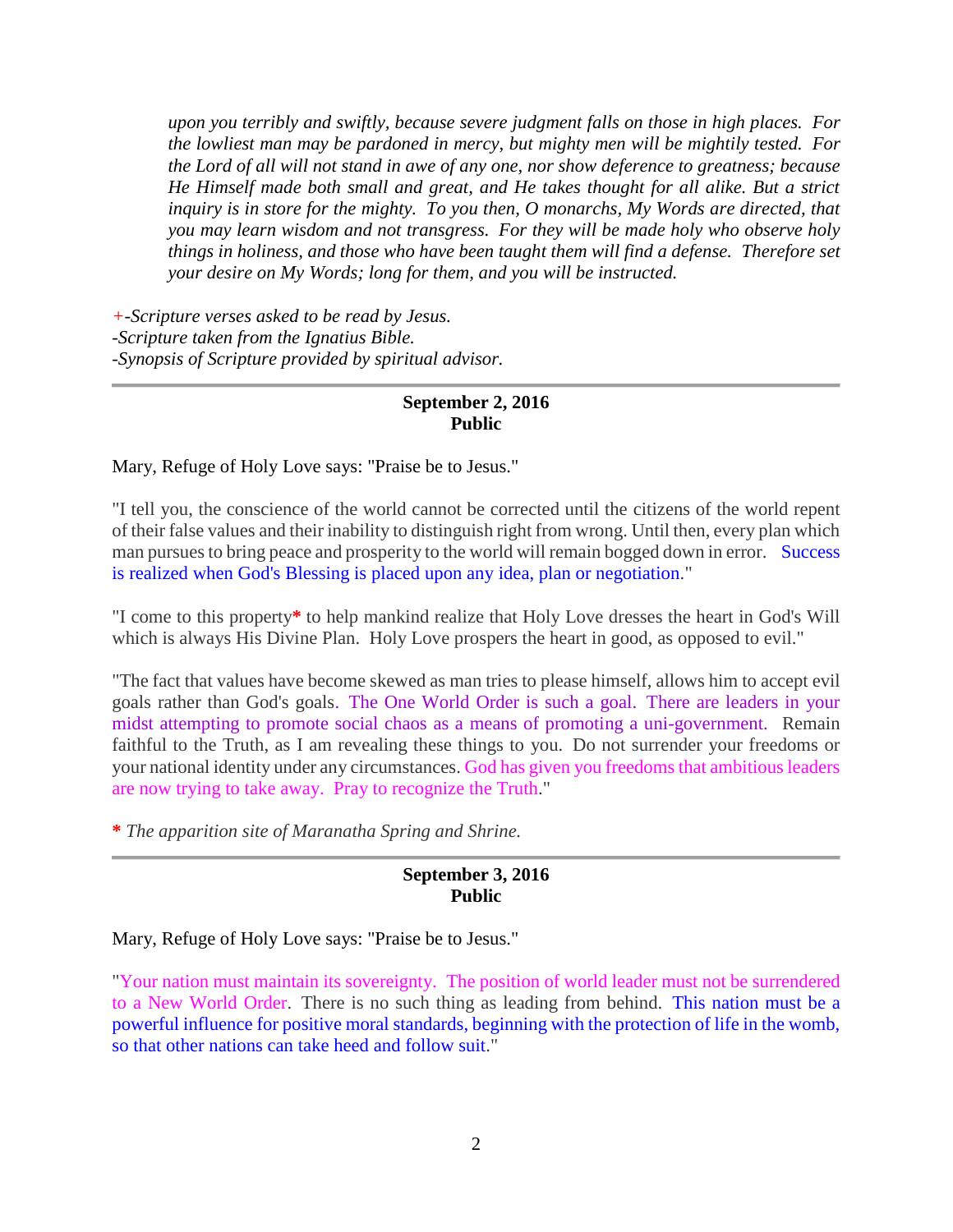*upon you terribly and swiftly, because severe judgment falls on those in high places. For the lowliest man may be pardoned in mercy, but mighty men will be mightily tested. For the Lord of all will not stand in awe of any one, nor show deference to greatness; because He Himself made both small and great, and He takes thought for all alike. But a strict inquiry is in store for the mighty. To you then, O monarchs, My Words are directed, that you may learn wisdom and not transgress. For they will be made holy who observe holy things in holiness, and those who have been taught them will find a defense. Therefore set your desire on My Words; long for them, and you will be instructed.*

*+-Scripture verses asked to be read by Jesus. -Scripture taken from the Ignatius Bible. -Synopsis of Scripture provided by spiritual advisor.*

#### **September 2, 2016 Public**

Mary, Refuge of Holy Love says: "Praise be to Jesus."

"I tell you, the conscience of the world cannot be corrected until the citizens of the world repent of their false values and their inability to distinguish right from wrong. Until then, every plan which man pursues to bring peace and prosperity to the world will remain bogged down in error. Success is realized when God's Blessing is placed upon any idea, plan or negotiation."

"I come to this property**\*** to help mankind realize that Holy Love dresses the heart in God's Will which is always His Divine Plan. Holy Love prospers the heart in good, as opposed to evil."

"The fact that values have become skewed as man tries to please himself, allows him to accept evil goals rather than God's goals. The One World Order is such a goal. There are leaders in your midst attempting to promote social chaos as a means of promoting a uni-government. Remain faithful to the Truth, as I am revealing these things to you. Do not surrender your freedoms or your national identity under any circumstances. God has given you freedoms that ambitious leaders are now trying to take away. Pray to recognize the Truth."

**\*** *The apparition site of Maranatha Spring and Shrine.*

### **September 3, 2016 Public**

Mary, Refuge of Holy Love says: "Praise be to Jesus."

"Your nation must maintain its sovereignty. The position of world leader must not be surrendered to a New World Order. There is no such thing as leading from behind. This nation must be a powerful influence for positive moral standards, beginning with the protection of life in the womb, so that other nations can take heed and follow suit."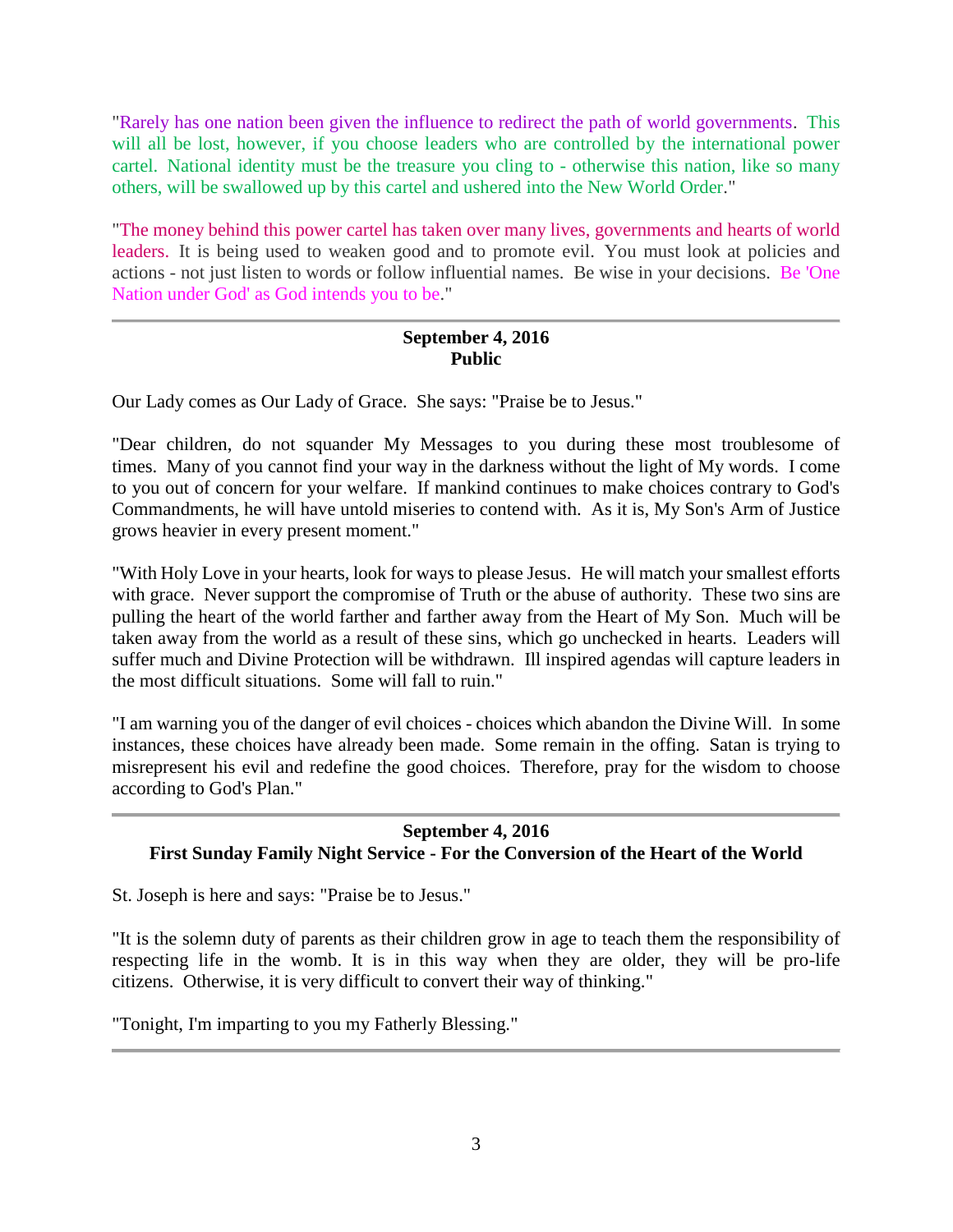"Rarely has one nation been given the influence to redirect the path of world governments. This will all be lost, however, if you choose leaders who are controlled by the international power cartel. National identity must be the treasure you cling to - otherwise this nation, like so many others, will be swallowed up by this cartel and ushered into the New World Order."

"The money behind this power cartel has taken over many lives, governments and hearts of world leaders. It is being used to weaken good and to promote evil. You must look at policies and actions - not just listen to words or follow influential names. Be wise in your decisions. Be 'One Nation under God' as God intends you to be."

### **September 4, 2016 Public**

Our Lady comes as Our Lady of Grace. She says: "Praise be to Jesus."

"Dear children, do not squander My Messages to you during these most troublesome of times. Many of you cannot find your way in the darkness without the light of My words. I come to you out of concern for your welfare. If mankind continues to make choices contrary to God's Commandments, he will have untold miseries to contend with. As it is, My Son's Arm of Justice grows heavier in every present moment."

"With Holy Love in your hearts, look for ways to please Jesus. He will match your smallest efforts with grace. Never support the compromise of Truth or the abuse of authority. These two sins are pulling the heart of the world farther and farther away from the Heart of My Son. Much will be taken away from the world as a result of these sins, which go unchecked in hearts. Leaders will suffer much and Divine Protection will be withdrawn. Ill inspired agendas will capture leaders in the most difficult situations. Some will fall to ruin."

"I am warning you of the danger of evil choices - choices which abandon the Divine Will. In some instances, these choices have already been made. Some remain in the offing. Satan is trying to misrepresent his evil and redefine the good choices. Therefore, pray for the wisdom to choose according to God's Plan."

# **September 4, 2016 First Sunday Family Night Service - For the Conversion of the Heart of the World**

St. Joseph is here and says: "Praise be to Jesus."

"It is the solemn duty of parents as their children grow in age to teach them the responsibility of respecting life in the womb. It is in this way when they are older, they will be pro-life citizens. Otherwise, it is very difficult to convert their way of thinking."

"Tonight, I'm imparting to you my Fatherly Blessing."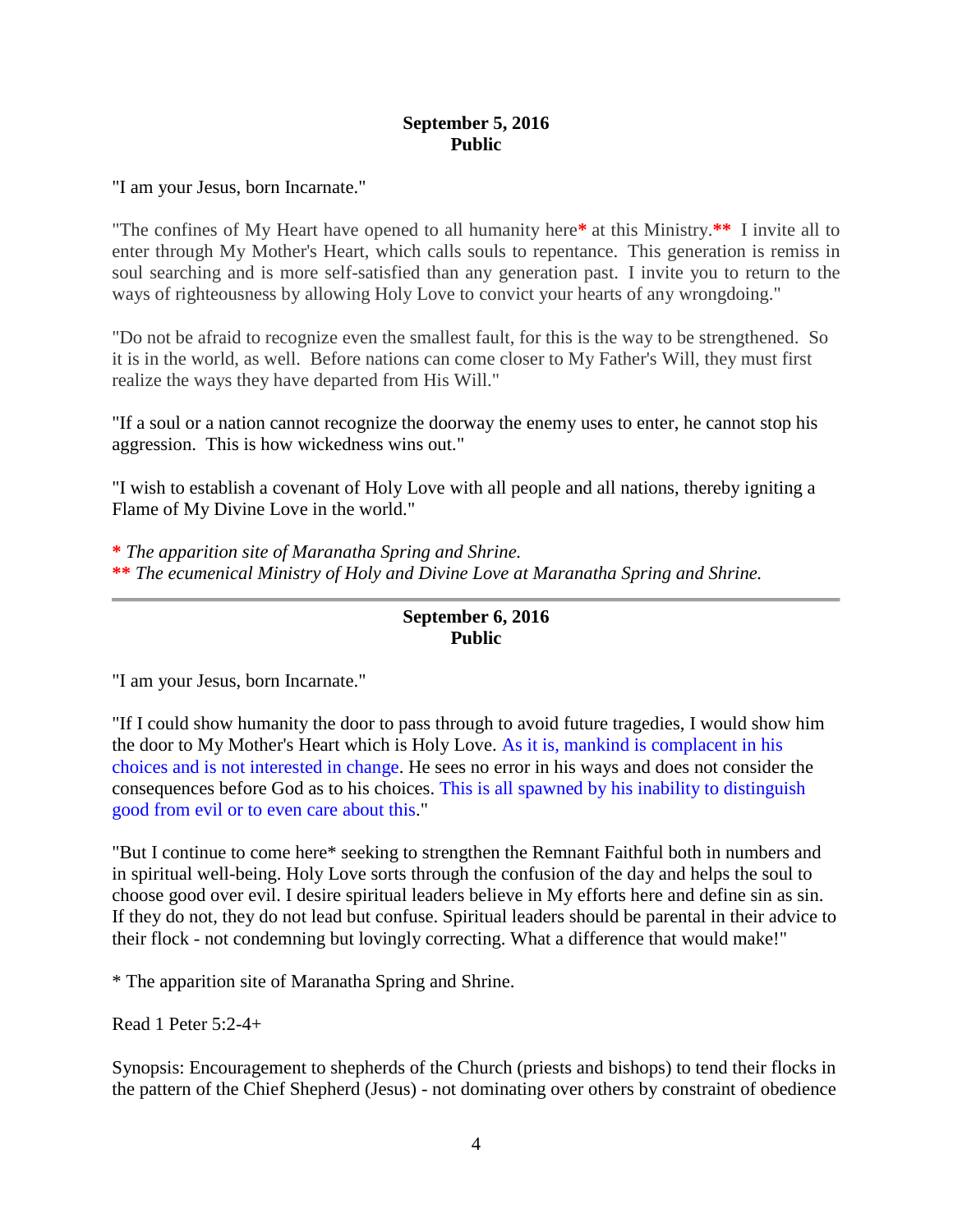#### **September 5, 2016 Public**

"I am your Jesus, born Incarnate."

"The confines of My Heart have opened to all humanity here**\*** at this Ministry.**\*\*** I invite all to enter through My Mother's Heart, which calls souls to repentance. This generation is remiss in soul searching and is more self-satisfied than any generation past. I invite you to return to the ways of righteousness by allowing Holy Love to convict your hearts of any wrongdoing."

"Do not be afraid to recognize even the smallest fault, for this is the way to be strengthened. So it is in the world, as well. Before nations can come closer to My Father's Will, they must first realize the ways they have departed from His Will."

"If a soul or a nation cannot recognize the doorway the enemy uses to enter, he cannot stop his aggression. This is how wickedness wins out."

"I wish to establish a covenant of Holy Love with all people and all nations, thereby igniting a Flame of My Divine Love in the world."

**\*** *The apparition site of Maranatha Spring and Shrine.* **\*\*** *The ecumenical Ministry of Holy and Divine Love at Maranatha Spring and Shrine.*

# **September 6, 2016 Public**

"I am your Jesus, born Incarnate."

"If I could show humanity the door to pass through to avoid future tragedies, I would show him the door to My Mother's Heart which is Holy Love. As it is, mankind is complacent in his choices and is not interested in change. He sees no error in his ways and does not consider the consequences before God as to his choices. This is all spawned by his inability to distinguish good from evil or to even care about this."

"But I continue to come here\* seeking to strengthen the Remnant Faithful both in numbers and in spiritual well-being. Holy Love sorts through the confusion of the day and helps the soul to choose good over evil. I desire spiritual leaders believe in My efforts here and define sin as sin. If they do not, they do not lead but confuse. Spiritual leaders should be parental in their advice to their flock - not condemning but lovingly correcting. What a difference that would make!"

\* The apparition site of Maranatha Spring and Shrine.

Read 1 Peter 5:2-4+

Synopsis: Encouragement to shepherds of the Church (priests and bishops) to tend their flocks in the pattern of the Chief Shepherd (Jesus) - not dominating over others by constraint of obedience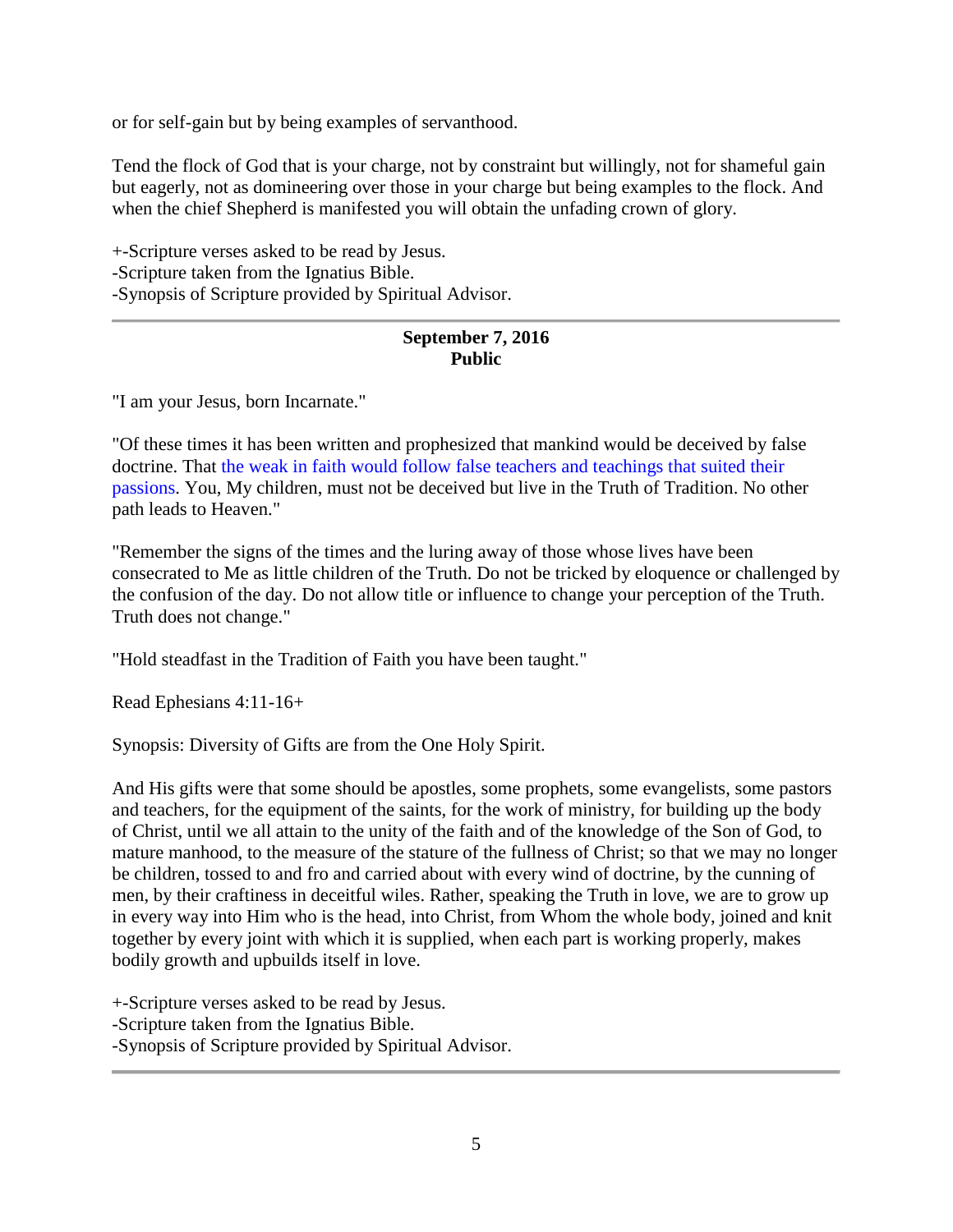or for self-gain but by being examples of servanthood.

Tend the flock of God that is your charge, not by constraint but willingly, not for shameful gain but eagerly, not as domineering over those in your charge but being examples to the flock. And when the chief Shepherd is manifested you will obtain the unfading crown of glory.

+-Scripture verses asked to be read by Jesus. -Scripture taken from the Ignatius Bible. -Synopsis of Scripture provided by Spiritual Advisor.

# **September 7, 2016 Public**

"I am your Jesus, born Incarnate."

"Of these times it has been written and prophesized that mankind would be deceived by false doctrine. That the weak in faith would follow false teachers and teachings that suited their passions. You, My children, must not be deceived but live in the Truth of Tradition. No other path leads to Heaven."

"Remember the signs of the times and the luring away of those whose lives have been consecrated to Me as little children of the Truth. Do not be tricked by eloquence or challenged by the confusion of the day. Do not allow title or influence to change your perception of the Truth. Truth does not change."

"Hold steadfast in the Tradition of Faith you have been taught."

Read Ephesians 4:11-16+

Synopsis: Diversity of Gifts are from the One Holy Spirit.

And His gifts were that some should be apostles, some prophets, some evangelists, some pastors and teachers, for the equipment of the saints, for the work of ministry, for building up the body of Christ, until we all attain to the unity of the faith and of the knowledge of the Son of God, to mature manhood, to the measure of the stature of the fullness of Christ; so that we may no longer be children, tossed to and fro and carried about with every wind of doctrine, by the cunning of men, by their craftiness in deceitful wiles. Rather, speaking the Truth in love, we are to grow up in every way into Him who is the head, into Christ, from Whom the whole body, joined and knit together by every joint with which it is supplied, when each part is working properly, makes bodily growth and upbuilds itself in love.

+-Scripture verses asked to be read by Jesus.

-Scripture taken from the Ignatius Bible.

-Synopsis of Scripture provided by Spiritual Advisor.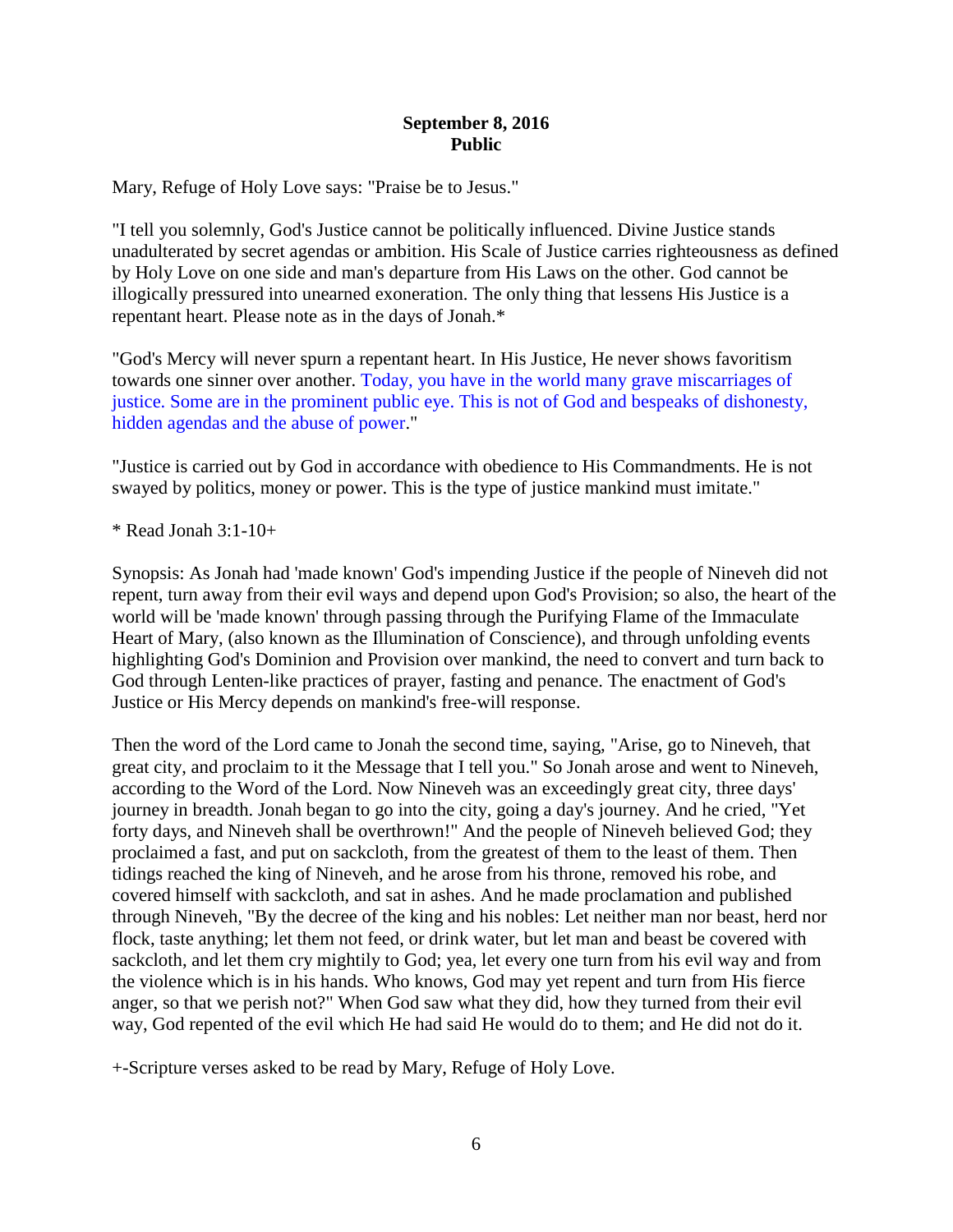#### **September 8, 2016 Public**

Mary, Refuge of Holy Love says: "Praise be to Jesus."

"I tell you solemnly, God's Justice cannot be politically influenced. Divine Justice stands unadulterated by secret agendas or ambition. His Scale of Justice carries righteousness as defined by Holy Love on one side and man's departure from His Laws on the other. God cannot be illogically pressured into unearned exoneration. The only thing that lessens His Justice is a repentant heart. Please note as in the days of Jonah.\*

"God's Mercy will never spurn a repentant heart. In His Justice, He never shows favoritism towards one sinner over another. Today, you have in the world many grave miscarriages of justice. Some are in the prominent public eye. This is not of God and bespeaks of dishonesty, hidden agendas and the abuse of power."

"Justice is carried out by God in accordance with obedience to His Commandments. He is not swayed by politics, money or power. This is the type of justice mankind must imitate."

\* Read Jonah 3:1-10+

Synopsis: As Jonah had 'made known' God's impending Justice if the people of Nineveh did not repent, turn away from their evil ways and depend upon God's Provision; so also, the heart of the world will be 'made known' through passing through the Purifying Flame of the Immaculate Heart of Mary, (also known as the Illumination of Conscience), and through unfolding events highlighting God's Dominion and Provision over mankind, the need to convert and turn back to God through Lenten-like practices of prayer, fasting and penance. The enactment of God's Justice or His Mercy depends on mankind's free-will response.

Then the word of the Lord came to Jonah the second time, saying, "Arise, go to Nineveh, that great city, and proclaim to it the Message that I tell you." So Jonah arose and went to Nineveh, according to the Word of the Lord. Now Nineveh was an exceedingly great city, three days' journey in breadth. Jonah began to go into the city, going a day's journey. And he cried, "Yet forty days, and Nineveh shall be overthrown!" And the people of Nineveh believed God; they proclaimed a fast, and put on sackcloth, from the greatest of them to the least of them. Then tidings reached the king of Nineveh, and he arose from his throne, removed his robe, and covered himself with sackcloth, and sat in ashes. And he made proclamation and published through Nineveh, "By the decree of the king and his nobles: Let neither man nor beast, herd nor flock, taste anything; let them not feed, or drink water, but let man and beast be covered with sackcloth, and let them cry mightily to God; yea, let every one turn from his evil way and from the violence which is in his hands. Who knows, God may yet repent and turn from His fierce anger, so that we perish not?" When God saw what they did, how they turned from their evil way, God repented of the evil which He had said He would do to them; and He did not do it.

+-Scripture verses asked to be read by Mary, Refuge of Holy Love.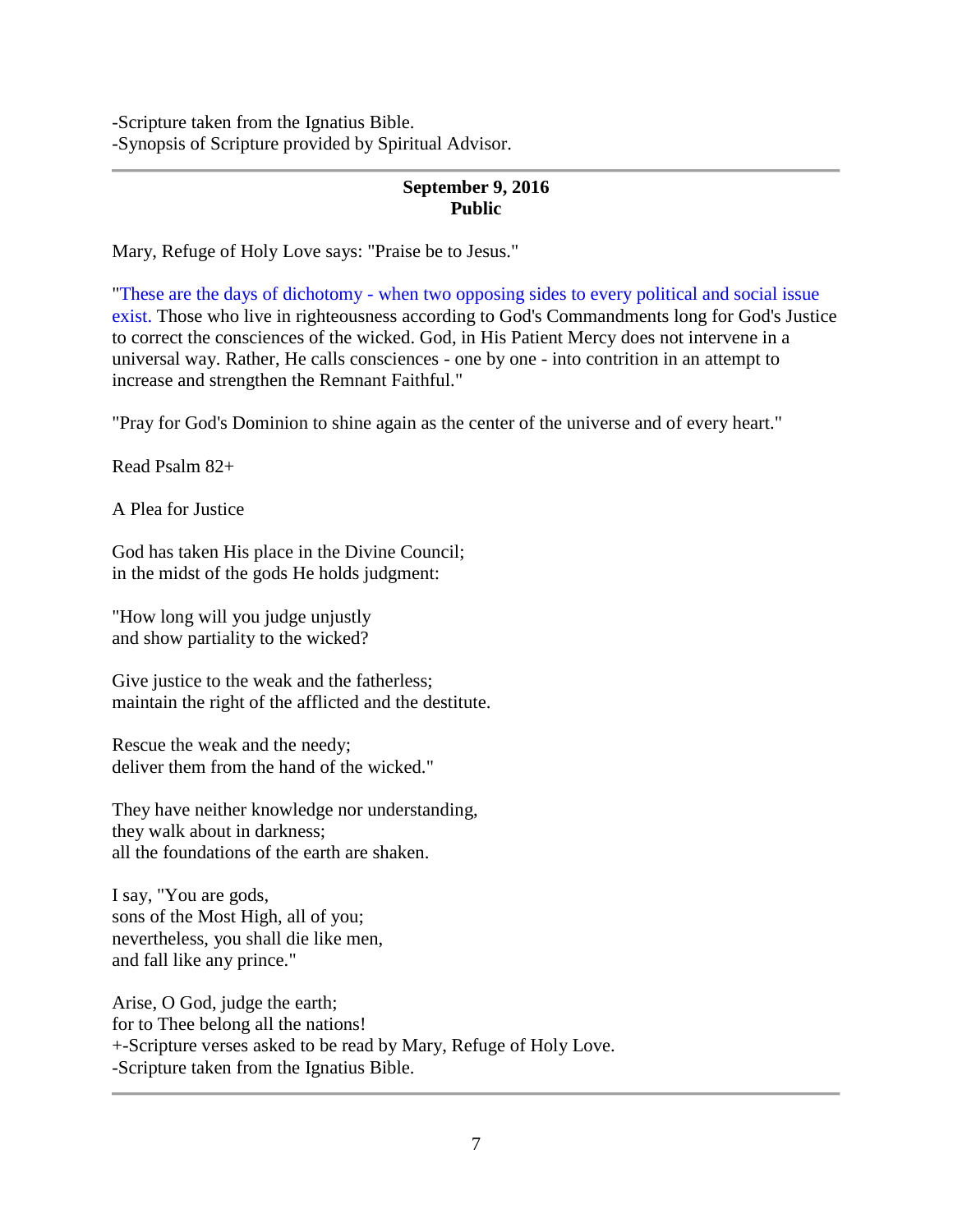-Scripture taken from the Ignatius Bible. -Synopsis of Scripture provided by Spiritual Advisor.

# **September 9, 2016 Public**

Mary, Refuge of Holy Love says: "Praise be to Jesus."

"These are the days of dichotomy - when two opposing sides to every political and social issue exist. Those who live in righteousness according to God's Commandments long for God's Justice to correct the consciences of the wicked. God, in His Patient Mercy does not intervene in a universal way. Rather, He calls consciences - one by one - into contrition in an attempt to increase and strengthen the Remnant Faithful."

"Pray for God's Dominion to shine again as the center of the universe and of every heart."

Read Psalm 82+

A Plea for Justice

God has taken His place in the Divine Council; in the midst of the gods He holds judgment:

"How long will you judge unjustly and show partiality to the wicked?

Give justice to the weak and the fatherless; maintain the right of the afflicted and the destitute.

Rescue the weak and the needy; deliver them from the hand of the wicked."

They have neither knowledge nor understanding, they walk about in darkness; all the foundations of the earth are shaken.

I say, "You are gods, sons of the Most High, all of you; nevertheless, you shall die like men, and fall like any prince."

Arise, O God, judge the earth; for to Thee belong all the nations! +-Scripture verses asked to be read by Mary, Refuge of Holy Love. -Scripture taken from the Ignatius Bible.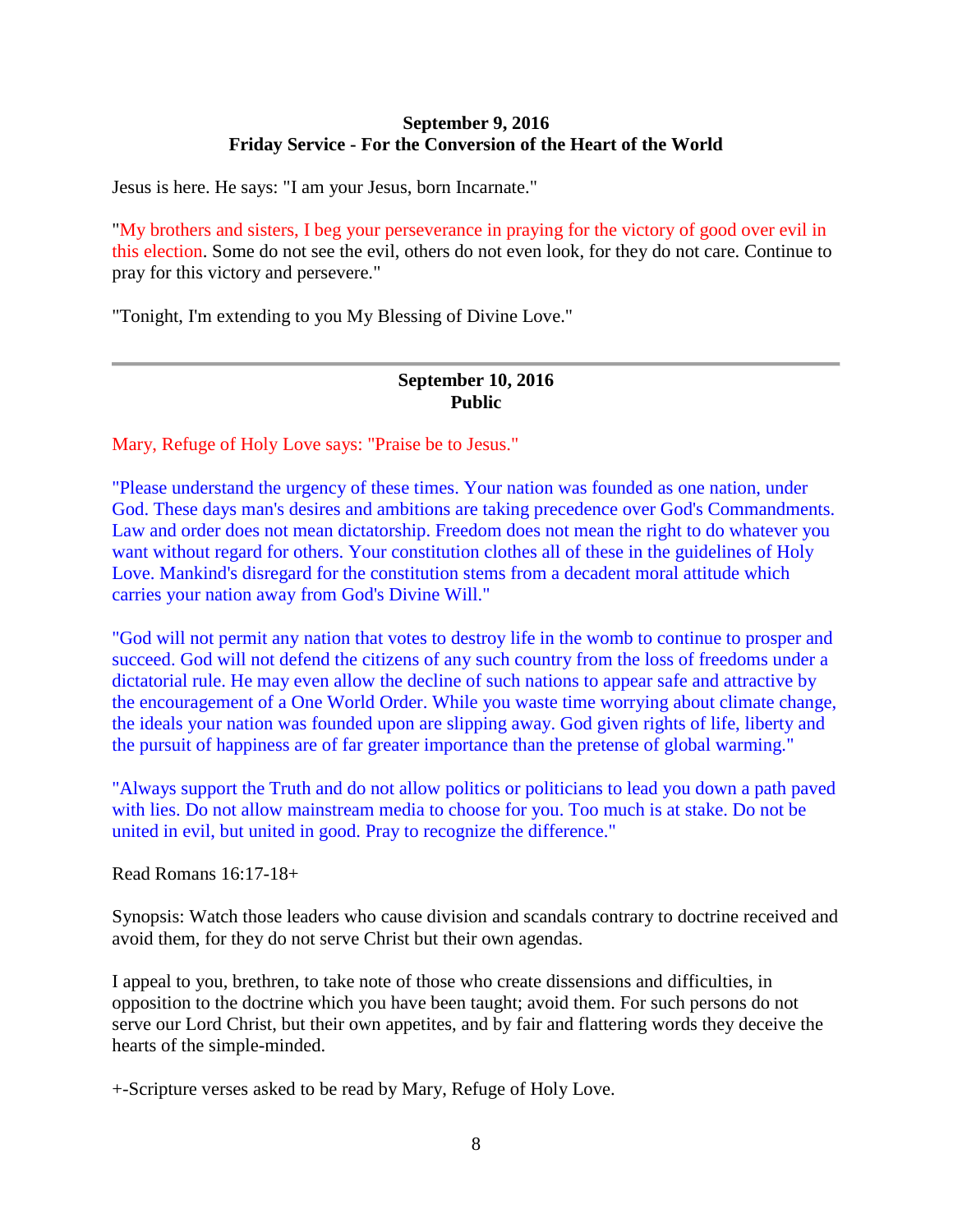### **September 9, 2016 Friday Service - For the Conversion of the Heart of the World**

Jesus is here. He says: "I am your Jesus, born Incarnate."

"My brothers and sisters, I beg your perseverance in praying for the victory of good over evil in this election. Some do not see the evil, others do not even look, for they do not care. Continue to pray for this victory and persevere."

"Tonight, I'm extending to you My Blessing of Divine Love."

### **September 10, 2016 Public**

Mary, Refuge of Holy Love says: "Praise be to Jesus."

"Please understand the urgency of these times. Your nation was founded as one nation, under God. These days man's desires and ambitions are taking precedence over God's Commandments. Law and order does not mean dictatorship. Freedom does not mean the right to do whatever you want without regard for others. Your constitution clothes all of these in the guidelines of Holy Love. Mankind's disregard for the constitution stems from a decadent moral attitude which carries your nation away from God's Divine Will."

"God will not permit any nation that votes to destroy life in the womb to continue to prosper and succeed. God will not defend the citizens of any such country from the loss of freedoms under a dictatorial rule. He may even allow the decline of such nations to appear safe and attractive by the encouragement of a One World Order. While you waste time worrying about climate change, the ideals your nation was founded upon are slipping away. God given rights of life, liberty and the pursuit of happiness are of far greater importance than the pretense of global warming."

"Always support the Truth and do not allow politics or politicians to lead you down a path paved with lies. Do not allow mainstream media to choose for you. Too much is at stake. Do not be united in evil, but united in good. Pray to recognize the difference."

Read Romans 16:17-18+

Synopsis: Watch those leaders who cause division and scandals contrary to doctrine received and avoid them, for they do not serve Christ but their own agendas.

I appeal to you, brethren, to take note of those who create dissensions and difficulties, in opposition to the doctrine which you have been taught; avoid them. For such persons do not serve our Lord Christ, but their own appetites, and by fair and flattering words they deceive the hearts of the simple-minded.

+-Scripture verses asked to be read by Mary, Refuge of Holy Love.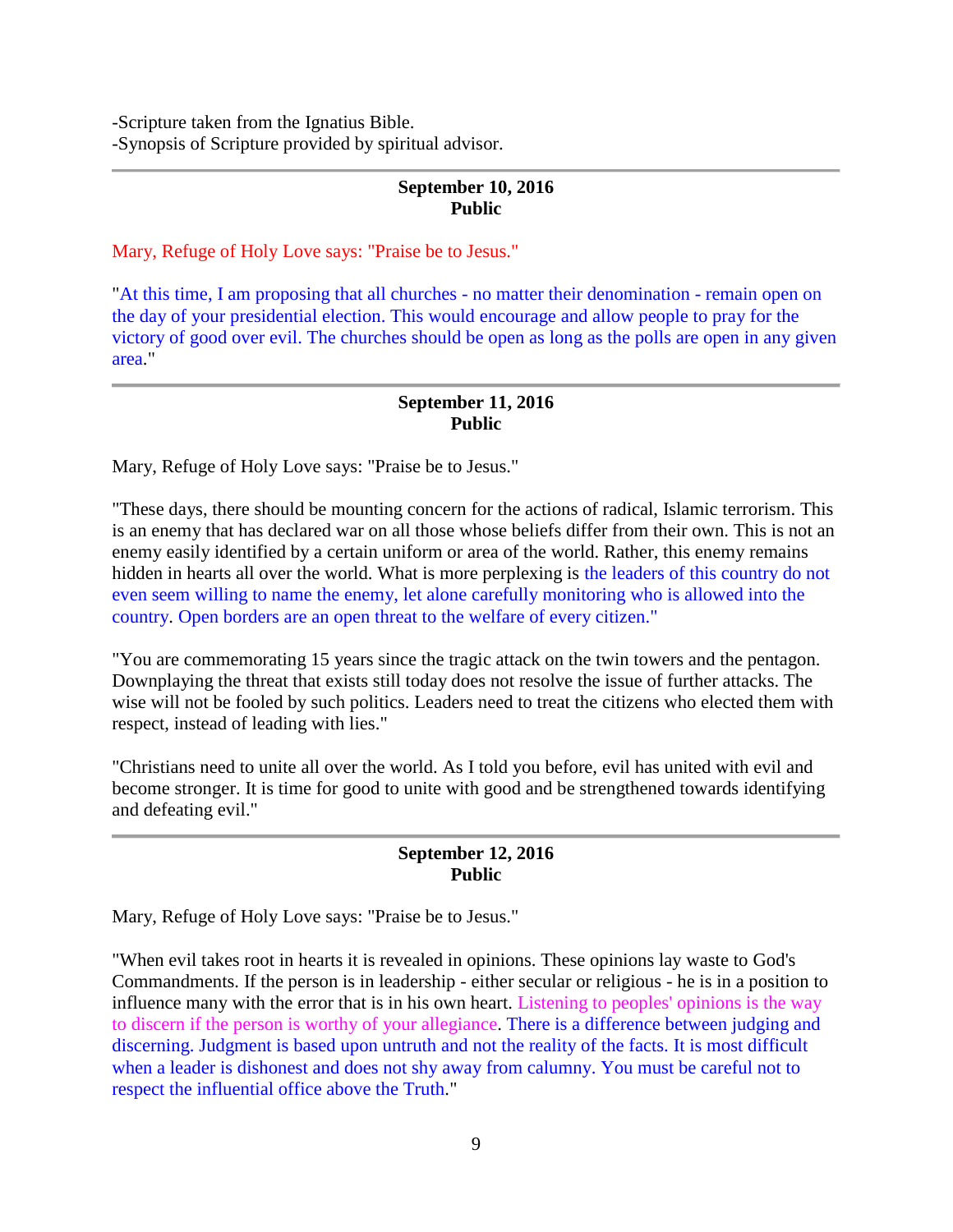-Scripture taken from the Ignatius Bible. -Synopsis of Scripture provided by spiritual advisor.

### **September 10, 2016 Public**

Mary, Refuge of Holy Love says: "Praise be to Jesus."

"At this time, I am proposing that all churches - no matter their denomination - remain open on the day of your presidential election. This would encourage and allow people to pray for the victory of good over evil. The churches should be open as long as the polls are open in any given area."

## **September 11, 2016 Public**

Mary, Refuge of Holy Love says: "Praise be to Jesus."

"These days, there should be mounting concern for the actions of radical, Islamic terrorism. This is an enemy that has declared war on all those whose beliefs differ from their own. This is not an enemy easily identified by a certain uniform or area of the world. Rather, this enemy remains hidden in hearts all over the world. What is more perplexing is the leaders of this country do not even seem willing to name the enemy, let alone carefully monitoring who is allowed into the country. Open borders are an open threat to the welfare of every citizen."

"You are commemorating 15 years since the tragic attack on the twin towers and the pentagon. Downplaying the threat that exists still today does not resolve the issue of further attacks. The wise will not be fooled by such politics. Leaders need to treat the citizens who elected them with respect, instead of leading with lies."

"Christians need to unite all over the world. As I told you before, evil has united with evil and become stronger. It is time for good to unite with good and be strengthened towards identifying and defeating evil."

### **September 12, 2016 Public**

Mary, Refuge of Holy Love says: "Praise be to Jesus."

"When evil takes root in hearts it is revealed in opinions. These opinions lay waste to God's Commandments. If the person is in leadership - either secular or religious - he is in a position to influence many with the error that is in his own heart. Listening to peoples' opinions is the way to discern if the person is worthy of your allegiance. There is a difference between judging and discerning. Judgment is based upon untruth and not the reality of the facts. It is most difficult when a leader is dishonest and does not shy away from calumny. You must be careful not to respect the influential office above the Truth."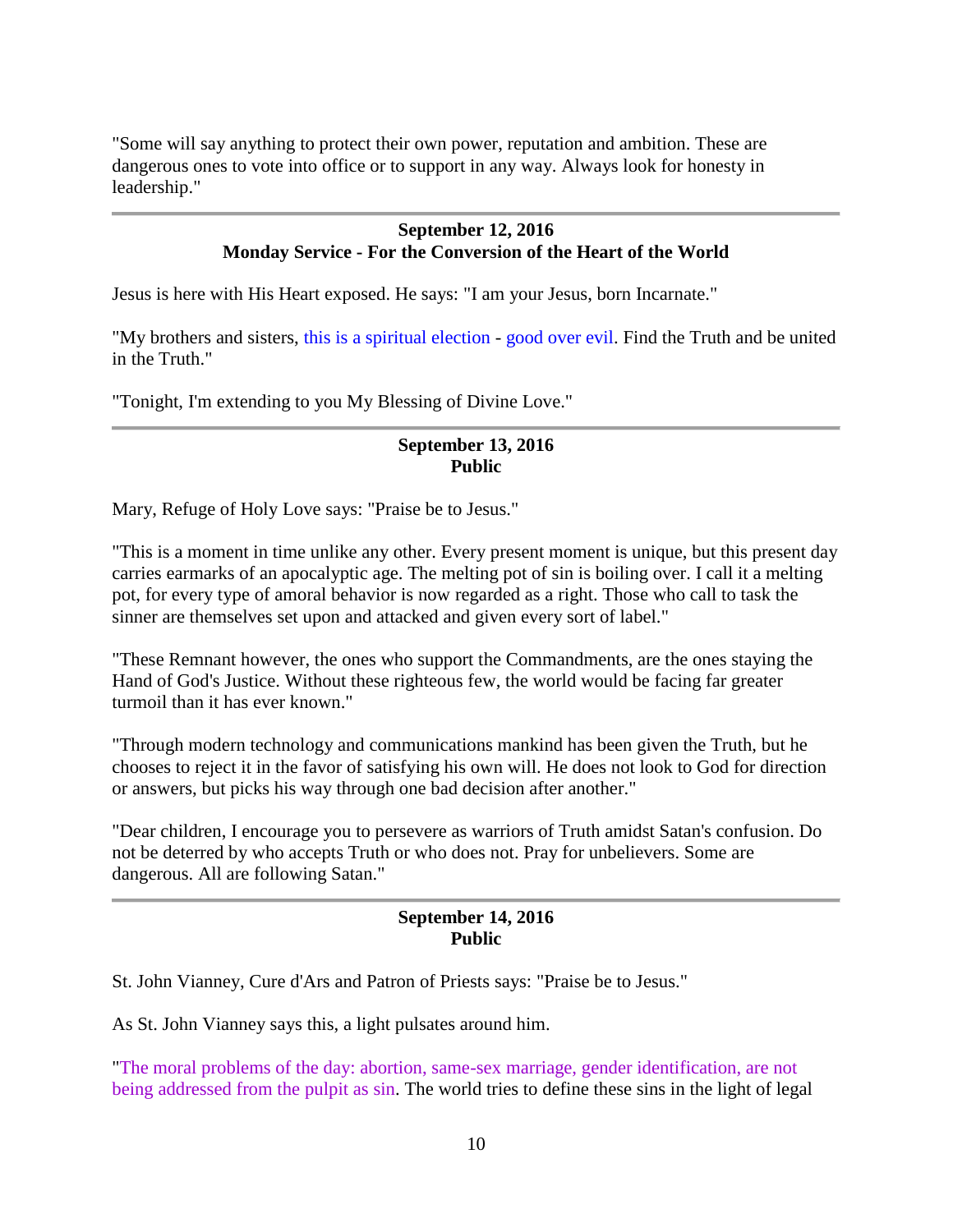"Some will say anything to protect their own power, reputation and ambition. These are dangerous ones to vote into office or to support in any way. Always look for honesty in leadership."

### **September 12, 2016 Monday Service - For the Conversion of the Heart of the World**

Jesus is here with His Heart exposed. He says: "I am your Jesus, born Incarnate."

"My brothers and sisters, this is a spiritual election - good over evil. Find the Truth and be united in the Truth."

"Tonight, I'm extending to you My Blessing of Divine Love."

## **September 13, 2016 Public**

Mary, Refuge of Holy Love says: "Praise be to Jesus."

"This is a moment in time unlike any other. Every present moment is unique, but this present day carries earmarks of an apocalyptic age. The melting pot of sin is boiling over. I call it a melting pot, for every type of amoral behavior is now regarded as a right. Those who call to task the sinner are themselves set upon and attacked and given every sort of label."

"These Remnant however, the ones who support the Commandments, are the ones staying the Hand of God's Justice. Without these righteous few, the world would be facing far greater turmoil than it has ever known."

"Through modern technology and communications mankind has been given the Truth, but he chooses to reject it in the favor of satisfying his own will. He does not look to God for direction or answers, but picks his way through one bad decision after another."

"Dear children, I encourage you to persevere as warriors of Truth amidst Satan's confusion. Do not be deterred by who accepts Truth or who does not. Pray for unbelievers. Some are dangerous. All are following Satan."

#### **September 14, 2016 Public**

St. John Vianney, Cure d'Ars and Patron of Priests says: "Praise be to Jesus."

As St. John Vianney says this, a light pulsates around him.

"The moral problems of the day: abortion, same-sex marriage, gender identification, are not being addressed from the pulpit as sin. The world tries to define these sins in the light of legal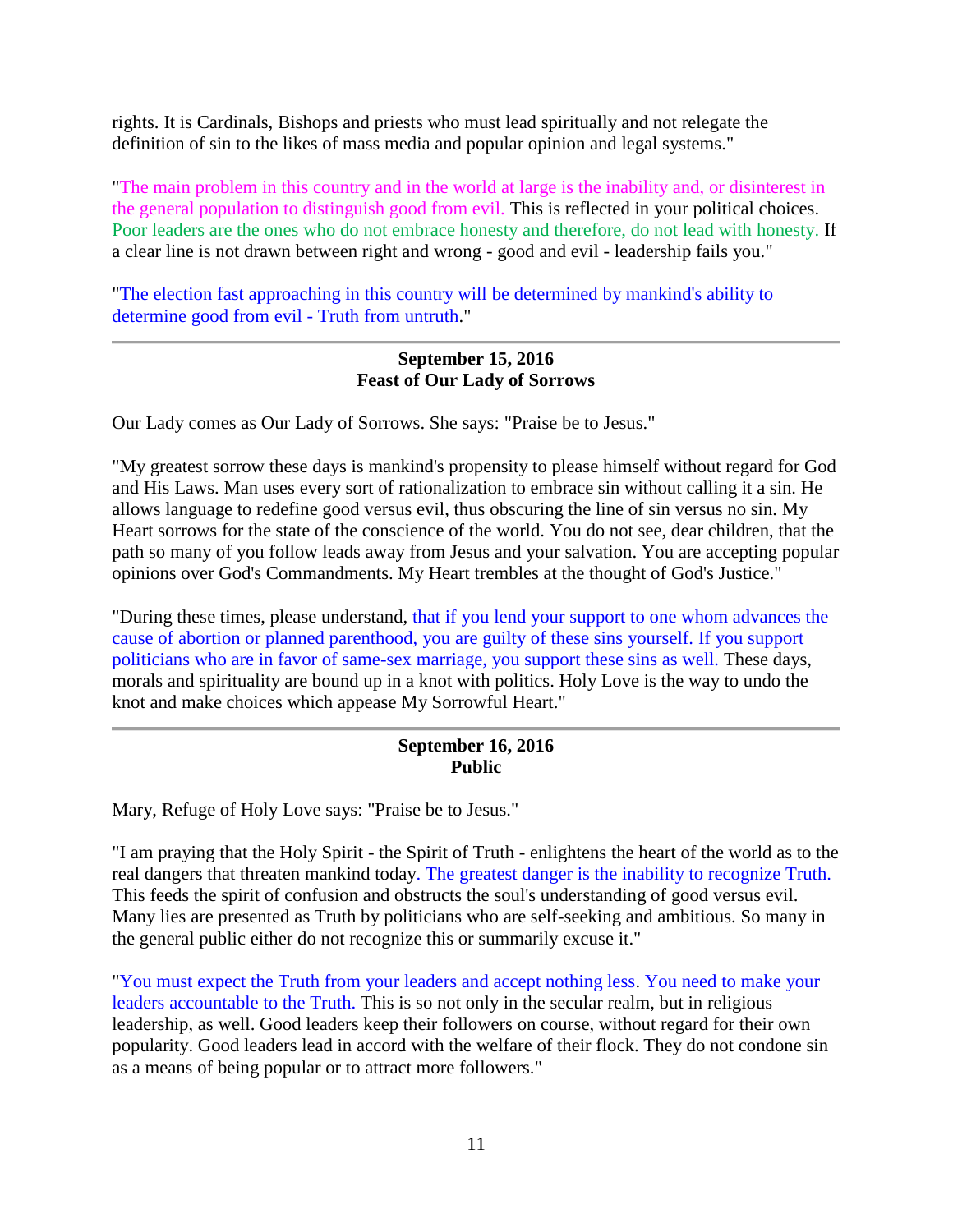rights. It is Cardinals, Bishops and priests who must lead spiritually and not relegate the definition of sin to the likes of mass media and popular opinion and legal systems."

"The main problem in this country and in the world at large is the inability and, or disinterest in the general population to distinguish good from evil. This is reflected in your political choices. Poor leaders are the ones who do not embrace honesty and therefore, do not lead with honesty. If a clear line is not drawn between right and wrong - good and evil - leadership fails you."

"The election fast approaching in this country will be determined by mankind's ability to determine good from evil - Truth from untruth."

### **September 15, 2016 Feast of Our Lady of Sorrows**

Our Lady comes as Our Lady of Sorrows. She says: "Praise be to Jesus."

"My greatest sorrow these days is mankind's propensity to please himself without regard for God and His Laws. Man uses every sort of rationalization to embrace sin without calling it a sin. He allows language to redefine good versus evil, thus obscuring the line of sin versus no sin. My Heart sorrows for the state of the conscience of the world. You do not see, dear children, that the path so many of you follow leads away from Jesus and your salvation. You are accepting popular opinions over God's Commandments. My Heart trembles at the thought of God's Justice."

"During these times, please understand, that if you lend your support to one whom advances the cause of abortion or planned parenthood, you are guilty of these sins yourself. If you support politicians who are in favor of same-sex marriage, you support these sins as well. These days, morals and spirituality are bound up in a knot with politics. Holy Love is the way to undo the knot and make choices which appease My Sorrowful Heart."

# **September 16, 2016 Public**

Mary, Refuge of Holy Love says: "Praise be to Jesus."

"I am praying that the Holy Spirit - the Spirit of Truth - enlightens the heart of the world as to the real dangers that threaten mankind today. The greatest danger is the inability to recognize Truth. This feeds the spirit of confusion and obstructs the soul's understanding of good versus evil. Many lies are presented as Truth by politicians who are self-seeking and ambitious. So many in the general public either do not recognize this or summarily excuse it."

"You must expect the Truth from your leaders and accept nothing less. You need to make your leaders accountable to the Truth. This is so not only in the secular realm, but in religious leadership, as well. Good leaders keep their followers on course, without regard for their own popularity. Good leaders lead in accord with the welfare of their flock. They do not condone sin as a means of being popular or to attract more followers."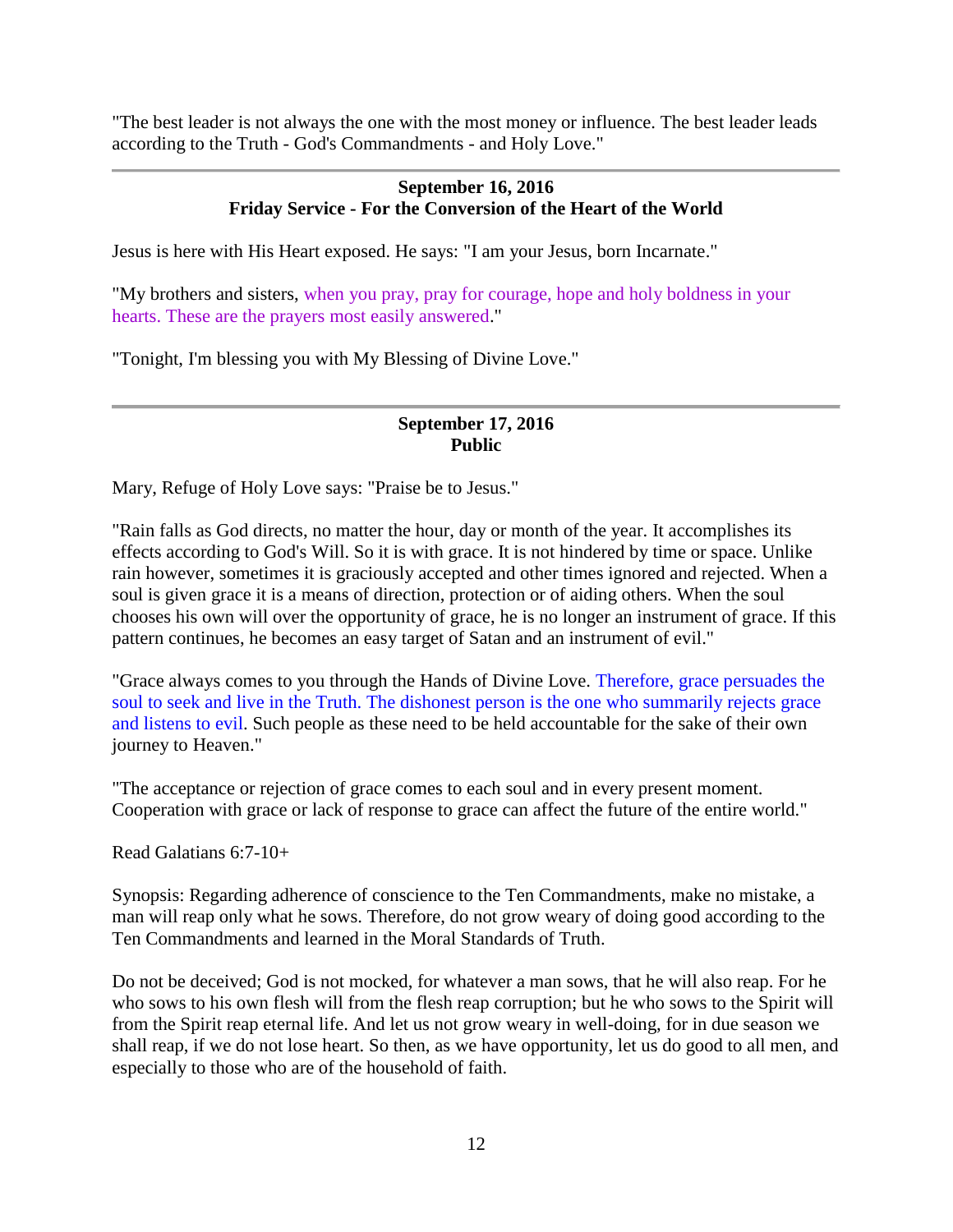"The best leader is not always the one with the most money or influence. The best leader leads according to the Truth - God's Commandments - and Holy Love."

### **September 16, 2016 Friday Service - For the Conversion of the Heart of the World**

Jesus is here with His Heart exposed. He says: "I am your Jesus, born Incarnate."

"My brothers and sisters, when you pray, pray for courage, hope and holy boldness in your hearts. These are the prayers most easily answered."

"Tonight, I'm blessing you with My Blessing of Divine Love."

## **September 17, 2016 Public**

Mary, Refuge of Holy Love says: "Praise be to Jesus."

"Rain falls as God directs, no matter the hour, day or month of the year. It accomplishes its effects according to God's Will. So it is with grace. It is not hindered by time or space. Unlike rain however, sometimes it is graciously accepted and other times ignored and rejected. When a soul is given grace it is a means of direction, protection or of aiding others. When the soul chooses his own will over the opportunity of grace, he is no longer an instrument of grace. If this pattern continues, he becomes an easy target of Satan and an instrument of evil."

"Grace always comes to you through the Hands of Divine Love. Therefore, grace persuades the soul to seek and live in the Truth. The dishonest person is the one who summarily rejects grace and listens to evil. Such people as these need to be held accountable for the sake of their own journey to Heaven."

"The acceptance or rejection of grace comes to each soul and in every present moment. Cooperation with grace or lack of response to grace can affect the future of the entire world."

Read Galatians 6:7-10+

Synopsis: Regarding adherence of conscience to the Ten Commandments, make no mistake, a man will reap only what he sows. Therefore, do not grow weary of doing good according to the Ten Commandments and learned in the Moral Standards of Truth.

Do not be deceived; God is not mocked, for whatever a man sows, that he will also reap. For he who sows to his own flesh will from the flesh reap corruption; but he who sows to the Spirit will from the Spirit reap eternal life. And let us not grow weary in well-doing, for in due season we shall reap, if we do not lose heart. So then, as we have opportunity, let us do good to all men, and especially to those who are of the household of faith.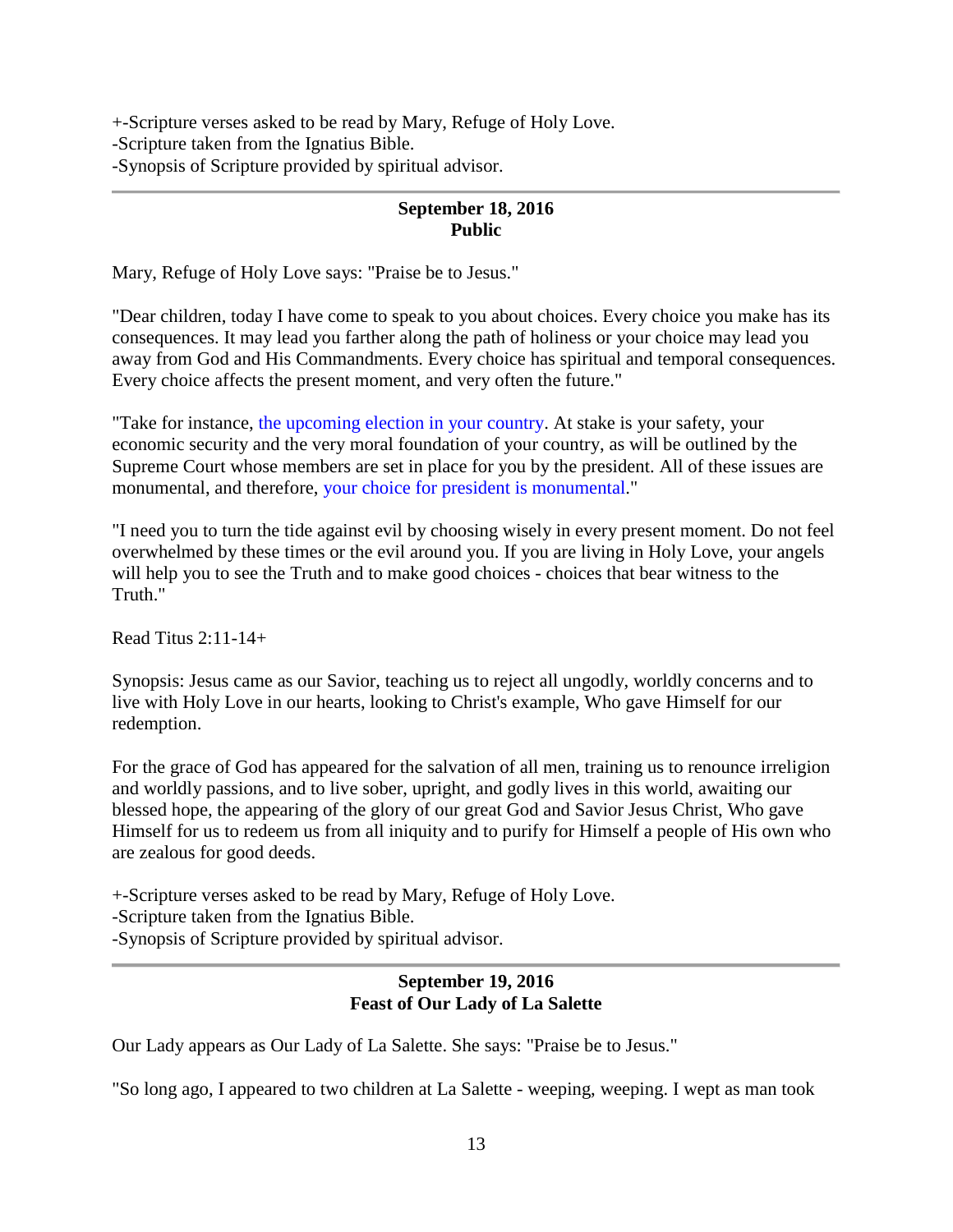+-Scripture verses asked to be read by Mary, Refuge of Holy Love. -Scripture taken from the Ignatius Bible. -Synopsis of Scripture provided by spiritual advisor.

## **September 18, 2016 Public**

Mary, Refuge of Holy Love says: "Praise be to Jesus."

"Dear children, today I have come to speak to you about choices. Every choice you make has its consequences. It may lead you farther along the path of holiness or your choice may lead you away from God and His Commandments. Every choice has spiritual and temporal consequences. Every choice affects the present moment, and very often the future."

"Take for instance, the upcoming election in your country. At stake is your safety, your economic security and the very moral foundation of your country, as will be outlined by the Supreme Court whose members are set in place for you by the president. All of these issues are monumental, and therefore, your choice for president is monumental."

"I need you to turn the tide against evil by choosing wisely in every present moment. Do not feel overwhelmed by these times or the evil around you. If you are living in Holy Love, your angels will help you to see the Truth and to make good choices - choices that bear witness to the Truth."

Read Titus 2:11-14+

Synopsis: Jesus came as our Savior, teaching us to reject all ungodly, worldly concerns and to live with Holy Love in our hearts, looking to Christ's example, Who gave Himself for our redemption.

For the grace of God has appeared for the salvation of all men, training us to renounce irreligion and worldly passions, and to live sober, upright, and godly lives in this world, awaiting our blessed hope, the appearing of the glory of our great God and Savior Jesus Christ, Who gave Himself for us to redeem us from all iniquity and to purify for Himself a people of His own who are zealous for good deeds.

+-Scripture verses asked to be read by Mary, Refuge of Holy Love.

-Scripture taken from the Ignatius Bible.

-Synopsis of Scripture provided by spiritual advisor.

#### **September 19, 2016 Feast of Our Lady of La Salette**

Our Lady appears as Our Lady of La Salette. She says: "Praise be to Jesus."

"So long ago, I appeared to two children at La Salette - weeping, weeping. I wept as man took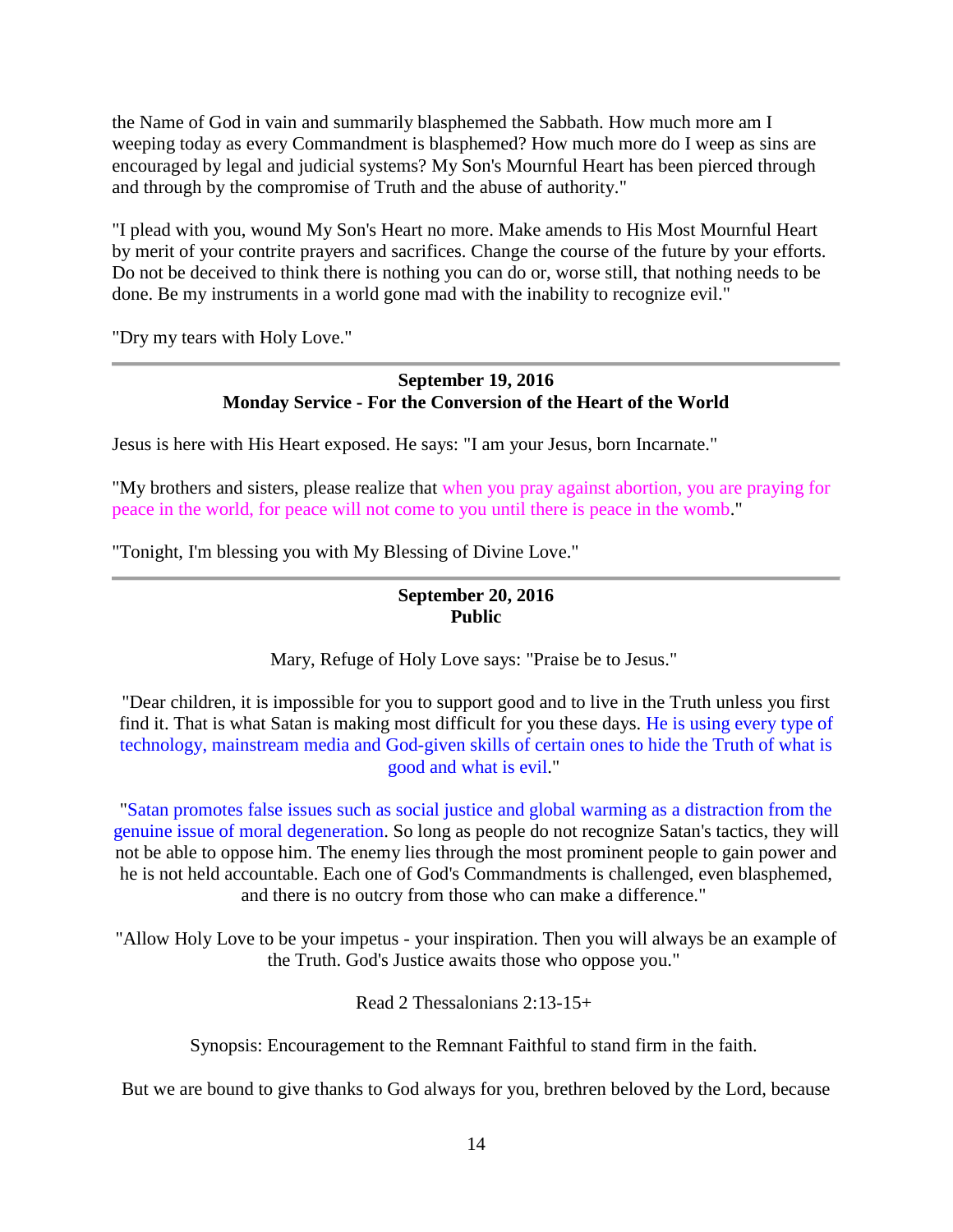the Name of God in vain and summarily blasphemed the Sabbath. How much more am I weeping today as every Commandment is blasphemed? How much more do I weep as sins are encouraged by legal and judicial systems? My Son's Mournful Heart has been pierced through and through by the compromise of Truth and the abuse of authority."

"I plead with you, wound My Son's Heart no more. Make amends to His Most Mournful Heart by merit of your contrite prayers and sacrifices. Change the course of the future by your efforts. Do not be deceived to think there is nothing you can do or, worse still, that nothing needs to be done. Be my instruments in a world gone mad with the inability to recognize evil."

"Dry my tears with Holy Love."

# **September 19, 2016 Monday Service - For the Conversion of the Heart of the World**

Jesus is here with His Heart exposed. He says: "I am your Jesus, born Incarnate."

"My brothers and sisters, please realize that when you pray against abortion, you are praying for peace in the world, for peace will not come to you until there is peace in the womb."

"Tonight, I'm blessing you with My Blessing of Divine Love."

# **September 20, 2016 Public**

Mary, Refuge of Holy Love says: "Praise be to Jesus."

"Dear children, it is impossible for you to support good and to live in the Truth unless you first find it. That is what Satan is making most difficult for you these days. He is using every type of technology, mainstream media and God-given skills of certain ones to hide the Truth of what is good and what is evil."

"Satan promotes false issues such as social justice and global warming as a distraction from the genuine issue of moral degeneration. So long as people do not recognize Satan's tactics, they will not be able to oppose him. The enemy lies through the most prominent people to gain power and he is not held accountable. Each one of God's Commandments is challenged, even blasphemed, and there is no outcry from those who can make a difference."

"Allow Holy Love to be your impetus - your inspiration. Then you will always be an example of the Truth. God's Justice awaits those who oppose you."

Read 2 Thessalonians 2:13-15+

Synopsis: Encouragement to the Remnant Faithful to stand firm in the faith.

But we are bound to give thanks to God always for you, brethren beloved by the Lord, because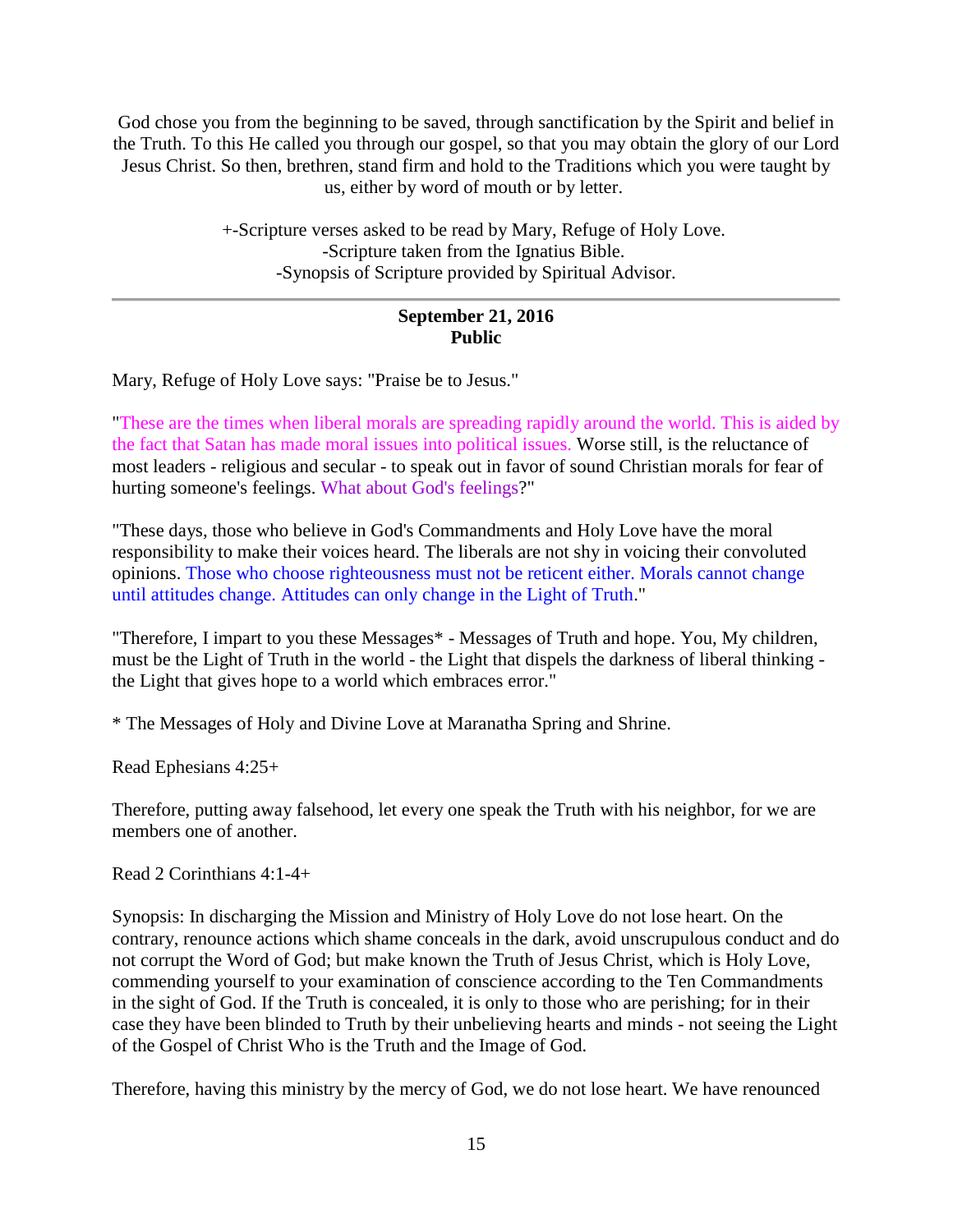God chose you from the beginning to be saved, through sanctification by the Spirit and belief in the Truth. To this He called you through our gospel, so that you may obtain the glory of our Lord Jesus Christ. So then, brethren, stand firm and hold to the Traditions which you were taught by us, either by word of mouth or by letter.

> +-Scripture verses asked to be read by Mary, Refuge of Holy Love. -Scripture taken from the Ignatius Bible. -Synopsis of Scripture provided by Spiritual Advisor.

# **September 21, 2016 Public**

Mary, Refuge of Holy Love says: "Praise be to Jesus."

"These are the times when liberal morals are spreading rapidly around the world. This is aided by the fact that Satan has made moral issues into political issues. Worse still, is the reluctance of most leaders - religious and secular - to speak out in favor of sound Christian morals for fear of hurting someone's feelings. What about God's feelings?"

"These days, those who believe in God's Commandments and Holy Love have the moral responsibility to make their voices heard. The liberals are not shy in voicing their convoluted opinions. Those who choose righteousness must not be reticent either. Morals cannot change until attitudes change. Attitudes can only change in the Light of Truth."

"Therefore, I impart to you these Messages\* - Messages of Truth and hope. You, My children, must be the Light of Truth in the world - the Light that dispels the darkness of liberal thinking the Light that gives hope to a world which embraces error."

\* The Messages of Holy and Divine Love at Maranatha Spring and Shrine.

Read Ephesians 4:25+

Therefore, putting away falsehood, let every one speak the Truth with his neighbor, for we are members one of another.

Read 2 Corinthians 4:1-4+

Synopsis: In discharging the Mission and Ministry of Holy Love do not lose heart. On the contrary, renounce actions which shame conceals in the dark, avoid unscrupulous conduct and do not corrupt the Word of God; but make known the Truth of Jesus Christ, which is Holy Love, commending yourself to your examination of conscience according to the Ten Commandments in the sight of God. If the Truth is concealed, it is only to those who are perishing; for in their case they have been blinded to Truth by their unbelieving hearts and minds - not seeing the Light of the Gospel of Christ Who is the Truth and the Image of God.

Therefore, having this ministry by the mercy of God, we do not lose heart. We have renounced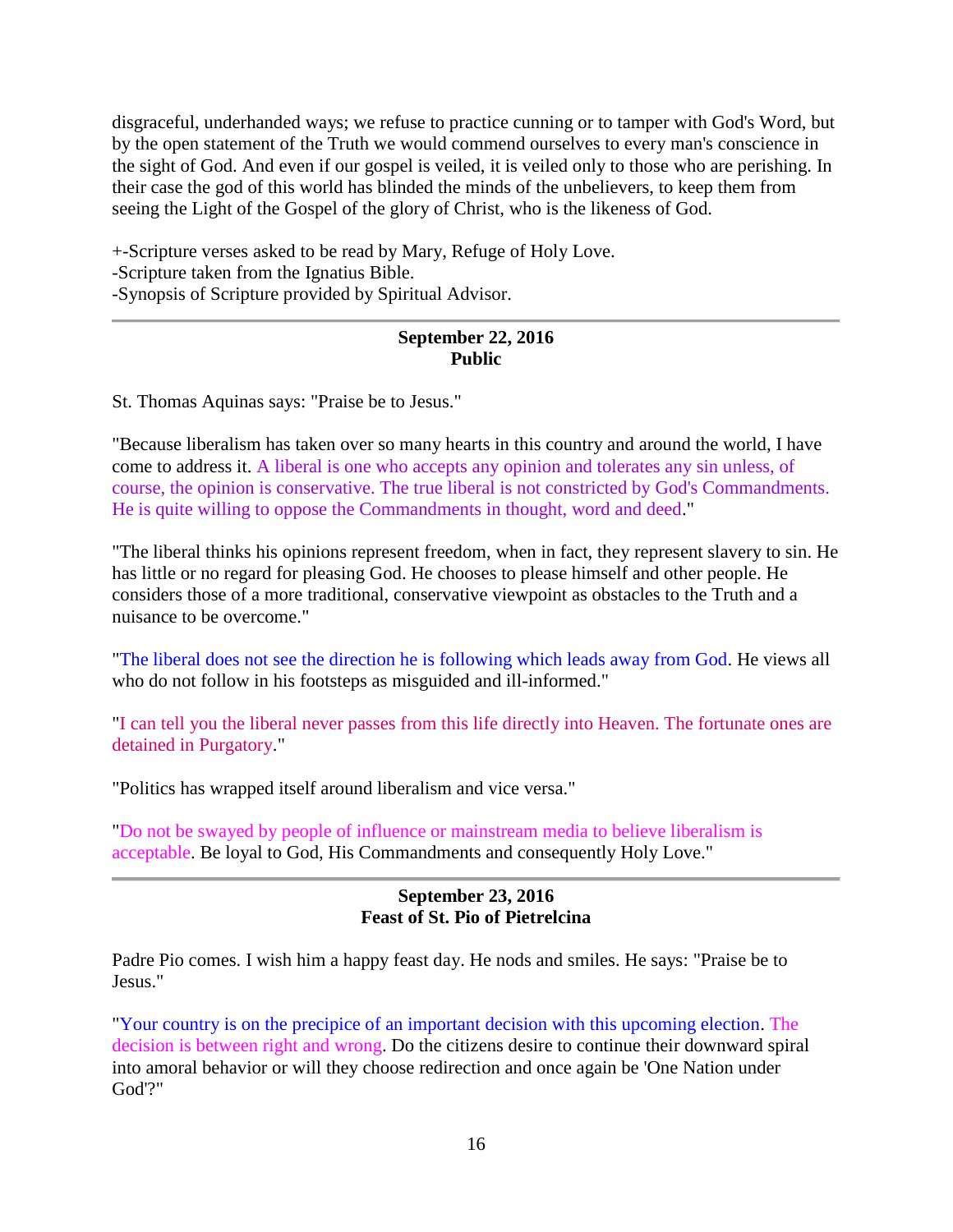disgraceful, underhanded ways; we refuse to practice cunning or to tamper with God's Word, but by the open statement of the Truth we would commend ourselves to every man's conscience in the sight of God. And even if our gospel is veiled, it is veiled only to those who are perishing. In their case the god of this world has blinded the minds of the unbelievers, to keep them from seeing the Light of the Gospel of the glory of Christ, who is the likeness of God.

+-Scripture verses asked to be read by Mary, Refuge of Holy Love. -Scripture taken from the Ignatius Bible. -Synopsis of Scripture provided by Spiritual Advisor.

# **September 22, 2016 Public**

St. Thomas Aquinas says: "Praise be to Jesus."

"Because liberalism has taken over so many hearts in this country and around the world, I have come to address it. A liberal is one who accepts any opinion and tolerates any sin unless, of course, the opinion is conservative. The true liberal is not constricted by God's Commandments. He is quite willing to oppose the Commandments in thought, word and deed."

"The liberal thinks his opinions represent freedom, when in fact, they represent slavery to sin. He has little or no regard for pleasing God. He chooses to please himself and other people. He considers those of a more traditional, conservative viewpoint as obstacles to the Truth and a nuisance to be overcome."

"The liberal does not see the direction he is following which leads away from God. He views all who do not follow in his footsteps as misguided and ill-informed."

"I can tell you the liberal never passes from this life directly into Heaven. The fortunate ones are detained in Purgatory."

"Politics has wrapped itself around liberalism and vice versa."

"Do not be swayed by people of influence or mainstream media to believe liberalism is acceptable. Be loyal to God, His Commandments and consequently Holy Love."

# **September 23, 2016 Feast of St. Pio of Pietrelcina**

Padre Pio comes. I wish him a happy feast day. He nods and smiles. He says: "Praise be to Jesus."

"Your country is on the precipice of an important decision with this upcoming election. The decision is between right and wrong. Do the citizens desire to continue their downward spiral into amoral behavior or will they choose redirection and once again be 'One Nation under God'?"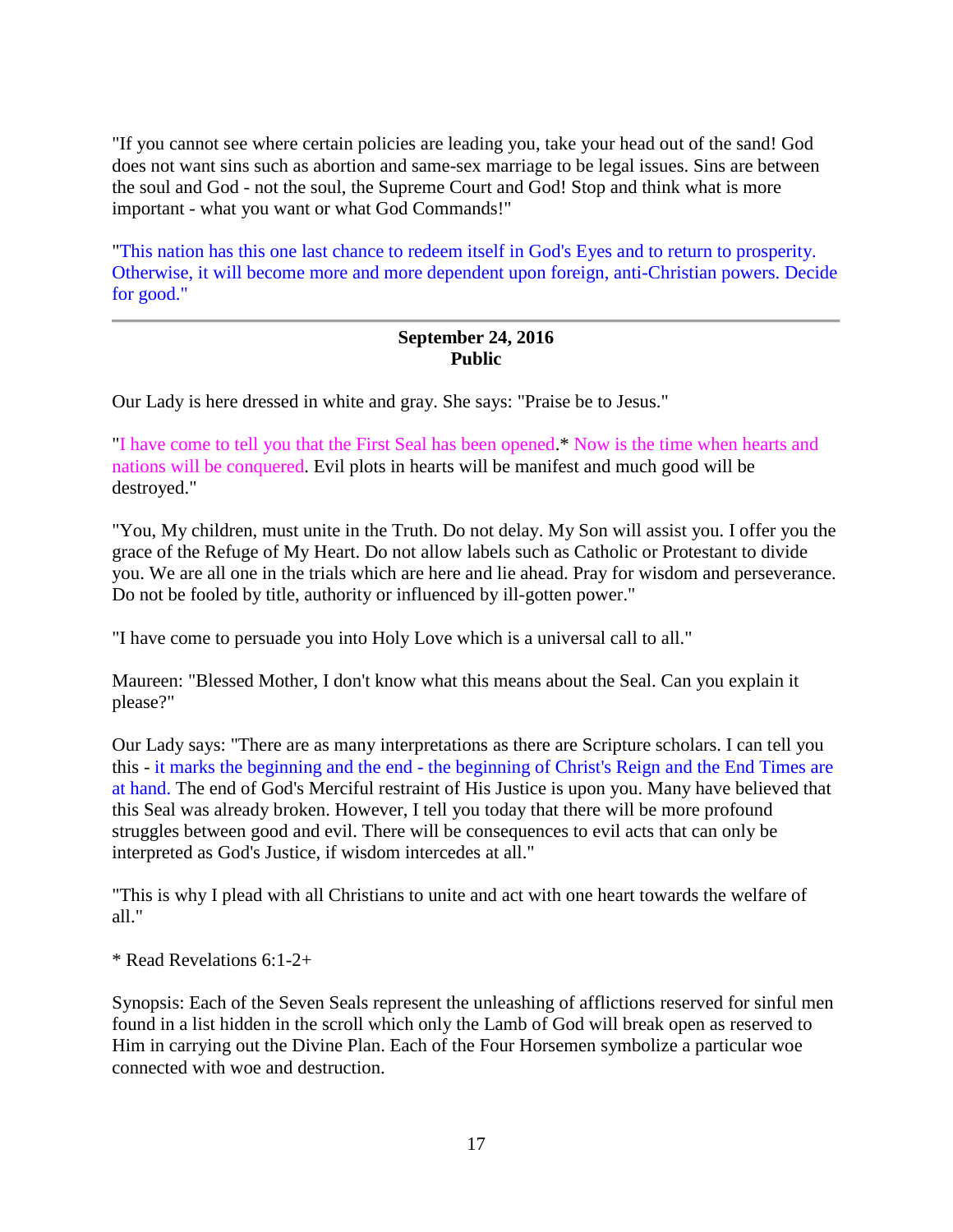"If you cannot see where certain policies are leading you, take your head out of the sand! God does not want sins such as abortion and same-sex marriage to be legal issues. Sins are between the soul and God - not the soul, the Supreme Court and God! Stop and think what is more important - what you want or what God Commands!"

"This nation has this one last chance to redeem itself in God's Eyes and to return to prosperity. Otherwise, it will become more and more dependent upon foreign, anti-Christian powers. Decide for good."

### **September 24, 2016 Public**

Our Lady is here dressed in white and gray. She says: "Praise be to Jesus."

"I have come to tell you that the First Seal has been opened.\* Now is the time when hearts and nations will be conquered. Evil plots in hearts will be manifest and much good will be destroyed."

"You, My children, must unite in the Truth. Do not delay. My Son will assist you. I offer you the grace of the Refuge of My Heart. Do not allow labels such as Catholic or Protestant to divide you. We are all one in the trials which are here and lie ahead. Pray for wisdom and perseverance. Do not be fooled by title, authority or influenced by ill-gotten power."

"I have come to persuade you into Holy Love which is a universal call to all."

Maureen: "Blessed Mother, I don't know what this means about the Seal. Can you explain it please?"

Our Lady says: "There are as many interpretations as there are Scripture scholars. I can tell you this - it marks the beginning and the end - the beginning of Christ's Reign and the End Times are at hand. The end of God's Merciful restraint of His Justice is upon you. Many have believed that this Seal was already broken. However, I tell you today that there will be more profound struggles between good and evil. There will be consequences to evil acts that can only be interpreted as God's Justice, if wisdom intercedes at all."

"This is why I plead with all Christians to unite and act with one heart towards the welfare of all."

\* Read Revelations 6:1-2+

Synopsis: Each of the Seven Seals represent the unleashing of afflictions reserved for sinful men found in a list hidden in the scroll which only the Lamb of God will break open as reserved to Him in carrying out the Divine Plan. Each of the Four Horsemen symbolize a particular woe connected with woe and destruction.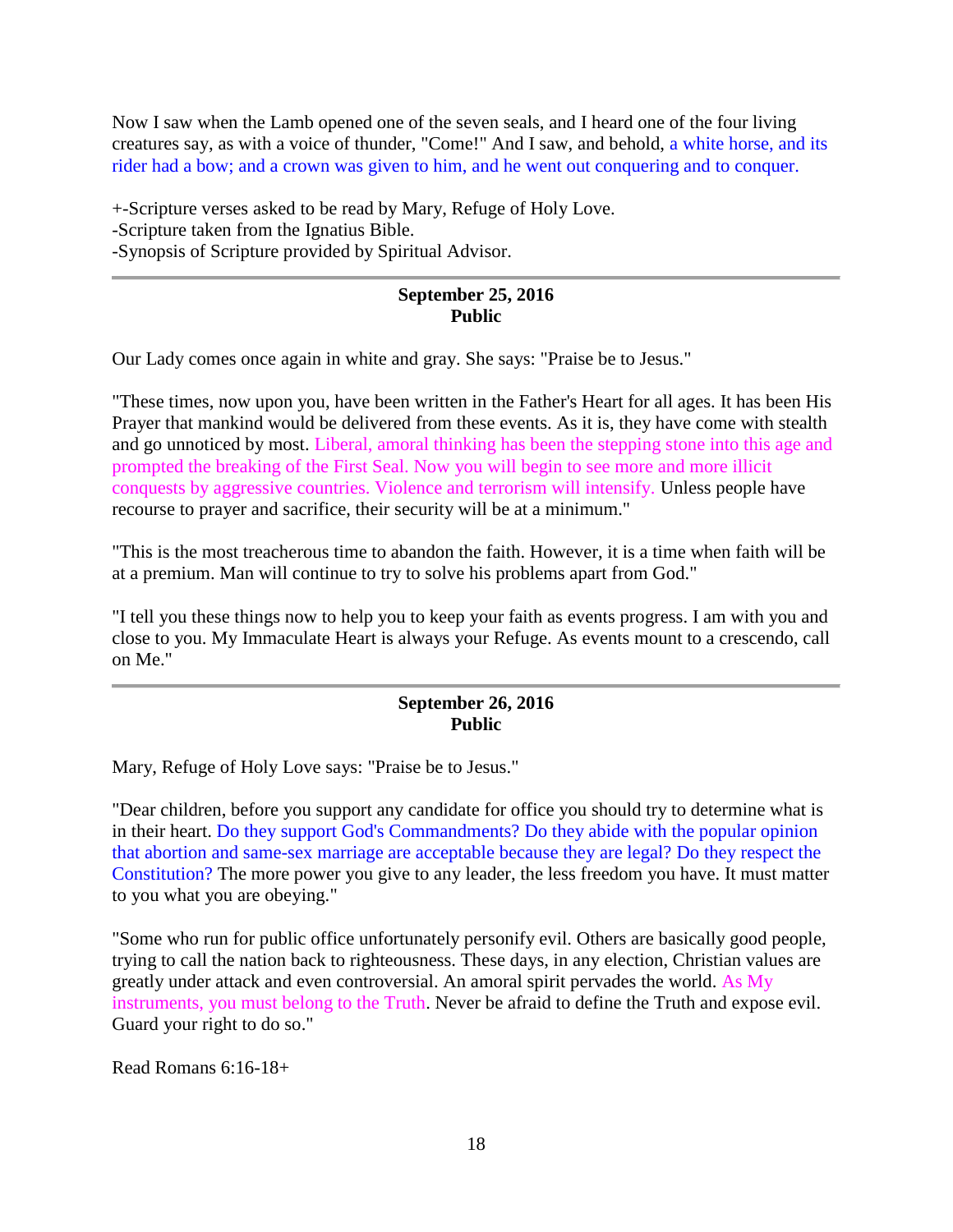Now I saw when the Lamb opened one of the seven seals, and I heard one of the four living creatures say, as with a voice of thunder, "Come!" And I saw, and behold, a white horse, and its rider had a bow; and a crown was given to him, and he went out conquering and to conquer.

+-Scripture verses asked to be read by Mary, Refuge of Holy Love. -Scripture taken from the Ignatius Bible. -Synopsis of Scripture provided by Spiritual Advisor.

## **September 25, 2016 Public**

Our Lady comes once again in white and gray. She says: "Praise be to Jesus."

"These times, now upon you, have been written in the Father's Heart for all ages. It has been His Prayer that mankind would be delivered from these events. As it is, they have come with stealth and go unnoticed by most. Liberal, amoral thinking has been the stepping stone into this age and prompted the breaking of the First Seal. Now you will begin to see more and more illicit conquests by aggressive countries. Violence and terrorism will intensify. Unless people have recourse to prayer and sacrifice, their security will be at a minimum."

"This is the most treacherous time to abandon the faith. However, it is a time when faith will be at a premium. Man will continue to try to solve his problems apart from God."

"I tell you these things now to help you to keep your faith as events progress. I am with you and close to you. My Immaculate Heart is always your Refuge. As events mount to a crescendo, call on Me."

### **September 26, 2016 Public**

Mary, Refuge of Holy Love says: "Praise be to Jesus."

"Dear children, before you support any candidate for office you should try to determine what is in their heart. Do they support God's Commandments? Do they abide with the popular opinion that abortion and same-sex marriage are acceptable because they are legal? Do they respect the Constitution? The more power you give to any leader, the less freedom you have. It must matter to you what you are obeying."

"Some who run for public office unfortunately personify evil. Others are basically good people, trying to call the nation back to righteousness. These days, in any election, Christian values are greatly under attack and even controversial. An amoral spirit pervades the world. As My instruments, you must belong to the Truth. Never be afraid to define the Truth and expose evil. Guard your right to do so."

Read Romans 6:16-18+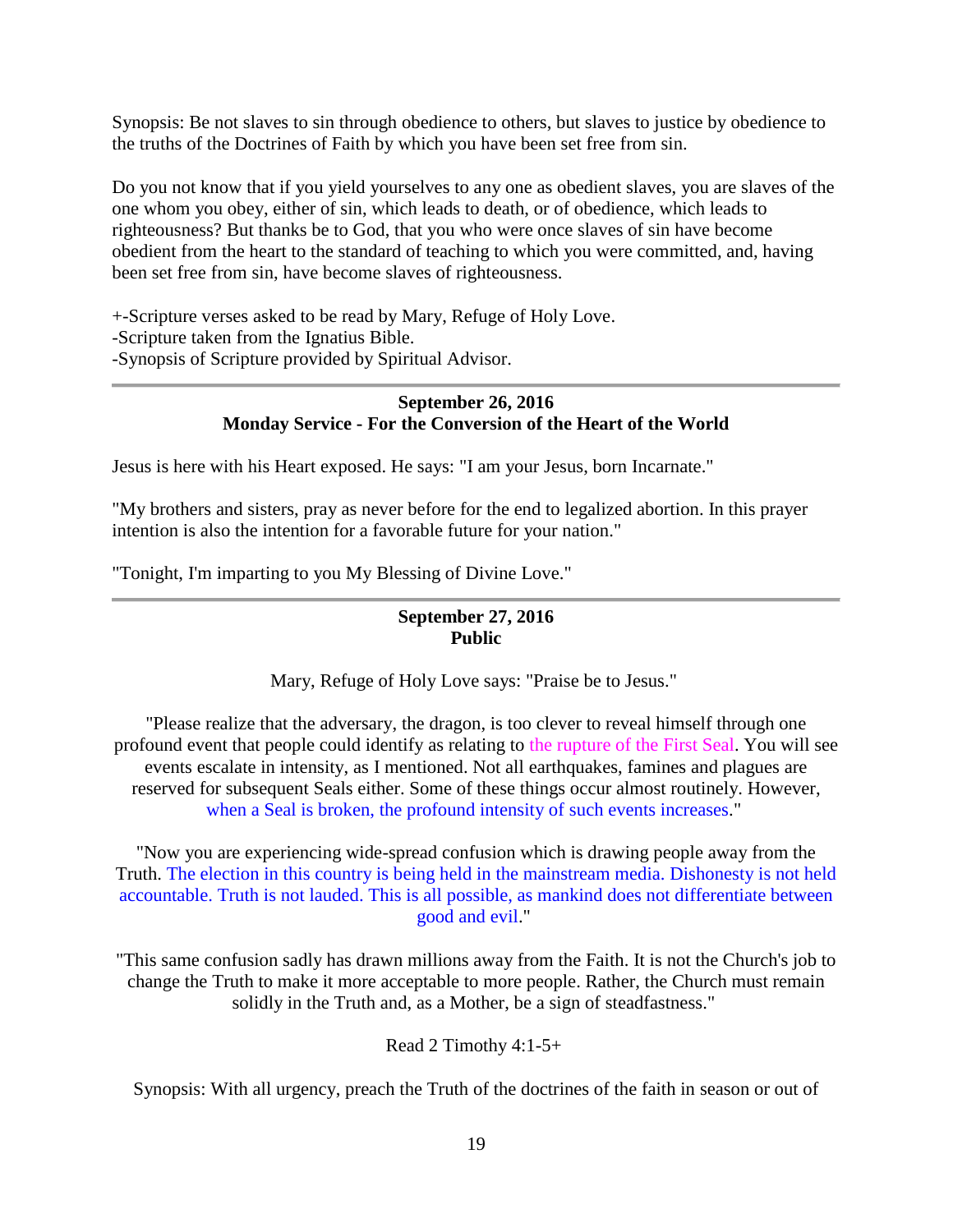Synopsis: Be not slaves to sin through obedience to others, but slaves to justice by obedience to the truths of the Doctrines of Faith by which you have been set free from sin.

Do you not know that if you yield yourselves to any one as obedient slaves, you are slaves of the one whom you obey, either of sin, which leads to death, or of obedience, which leads to righteousness? But thanks be to God, that you who were once slaves of sin have become obedient from the heart to the standard of teaching to which you were committed, and, having been set free from sin, have become slaves of righteousness.

+-Scripture verses asked to be read by Mary, Refuge of Holy Love. -Scripture taken from the Ignatius Bible. -Synopsis of Scripture provided by Spiritual Advisor.

#### **September 26, 2016 Monday Service - For the Conversion of the Heart of the World**

Jesus is here with his Heart exposed. He says: "I am your Jesus, born Incarnate."

"My brothers and sisters, pray as never before for the end to legalized abortion. In this prayer intention is also the intention for a favorable future for your nation."

"Tonight, I'm imparting to you My Blessing of Divine Love."

# **September 27, 2016 Public**

Mary, Refuge of Holy Love says: "Praise be to Jesus."

"Please realize that the adversary, the dragon, is too clever to reveal himself through one profound event that people could identify as relating to the rupture of the First Seal. You will see events escalate in intensity, as I mentioned. Not all earthquakes, famines and plagues are reserved for subsequent Seals either. Some of these things occur almost routinely. However, when a Seal is broken, the profound intensity of such events increases."

"Now you are experiencing wide-spread confusion which is drawing people away from the Truth. The election in this country is being held in the mainstream media. Dishonesty is not held accountable. Truth is not lauded. This is all possible, as mankind does not differentiate between good and evil."

"This same confusion sadly has drawn millions away from the Faith. It is not the Church's job to change the Truth to make it more acceptable to more people. Rather, the Church must remain solidly in the Truth and, as a Mother, be a sign of steadfastness."

Read 2 Timothy 4:1-5+

Synopsis: With all urgency, preach the Truth of the doctrines of the faith in season or out of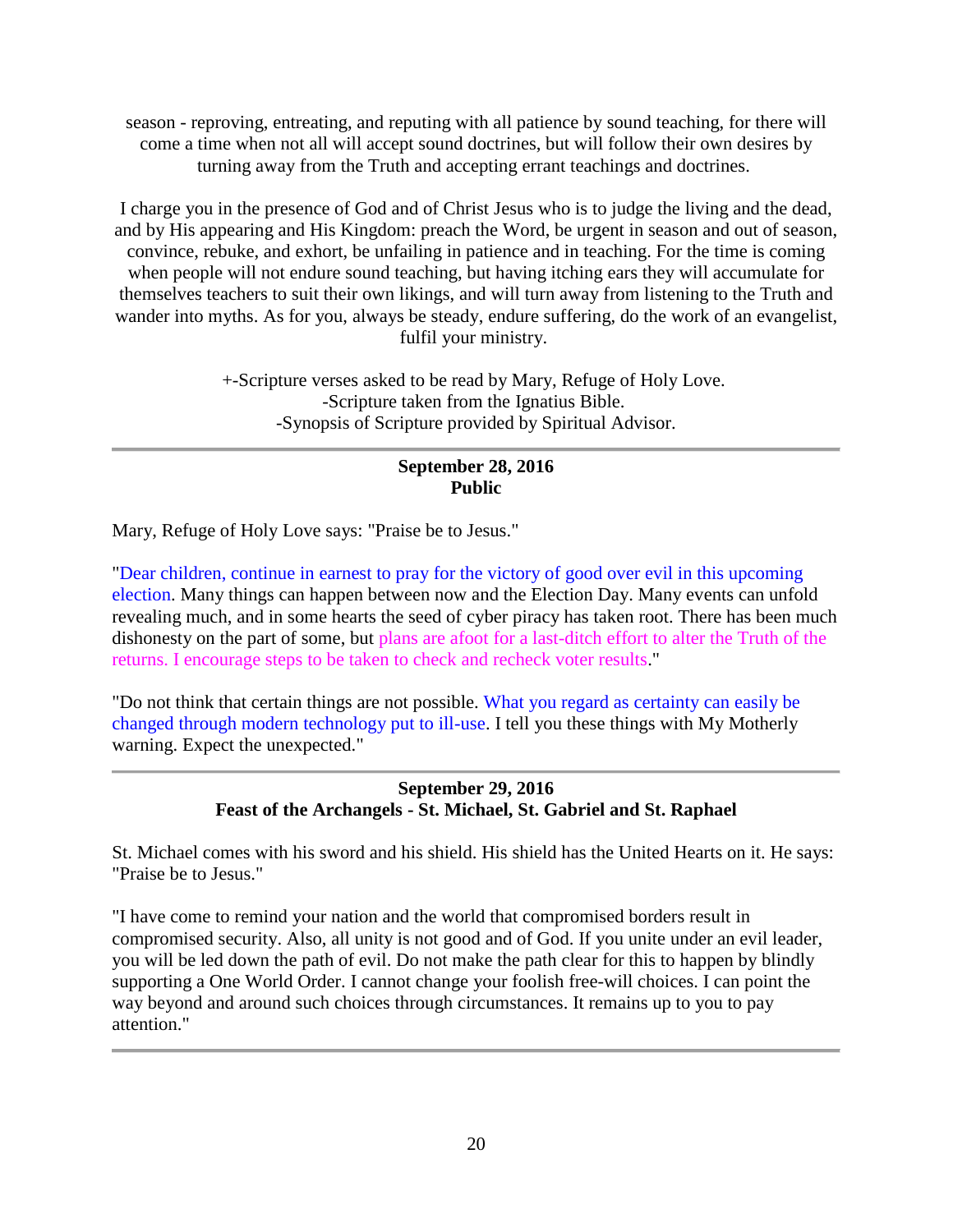season - reproving, entreating, and reputing with all patience by sound teaching, for there will come a time when not all will accept sound doctrines, but will follow their own desires by turning away from the Truth and accepting errant teachings and doctrines.

I charge you in the presence of God and of Christ Jesus who is to judge the living and the dead, and by His appearing and His Kingdom: preach the Word, be urgent in season and out of season, convince, rebuke, and exhort, be unfailing in patience and in teaching. For the time is coming when people will not endure sound teaching, but having itching ears they will accumulate for themselves teachers to suit their own likings, and will turn away from listening to the Truth and wander into myths. As for you, always be steady, endure suffering, do the work of an evangelist, fulfil your ministry.

> +-Scripture verses asked to be read by Mary, Refuge of Holy Love. -Scripture taken from the Ignatius Bible. -Synopsis of Scripture provided by Spiritual Advisor.

# **September 28, 2016 Public**

Mary, Refuge of Holy Love says: "Praise be to Jesus."

"Dear children, continue in earnest to pray for the victory of good over evil in this upcoming election. Many things can happen between now and the Election Day. Many events can unfold revealing much, and in some hearts the seed of cyber piracy has taken root. There has been much dishonesty on the part of some, but plans are afoot for a last-ditch effort to alter the Truth of the returns. I encourage steps to be taken to check and recheck voter results."

"Do not think that certain things are not possible. What you regard as certainty can easily be changed through modern technology put to ill-use. I tell you these things with My Motherly warning. Expect the unexpected."

> **September 29, 2016 Feast of the Archangels - St. Michael, St. Gabriel and St. Raphael**

St. Michael comes with his sword and his shield. His shield has the United Hearts on it. He says: "Praise be to Jesus."

"I have come to remind your nation and the world that compromised borders result in compromised security. Also, all unity is not good and of God. If you unite under an evil leader, you will be led down the path of evil. Do not make the path clear for this to happen by blindly supporting a One World Order. I cannot change your foolish free-will choices. I can point the way beyond and around such choices through circumstances. It remains up to you to pay attention."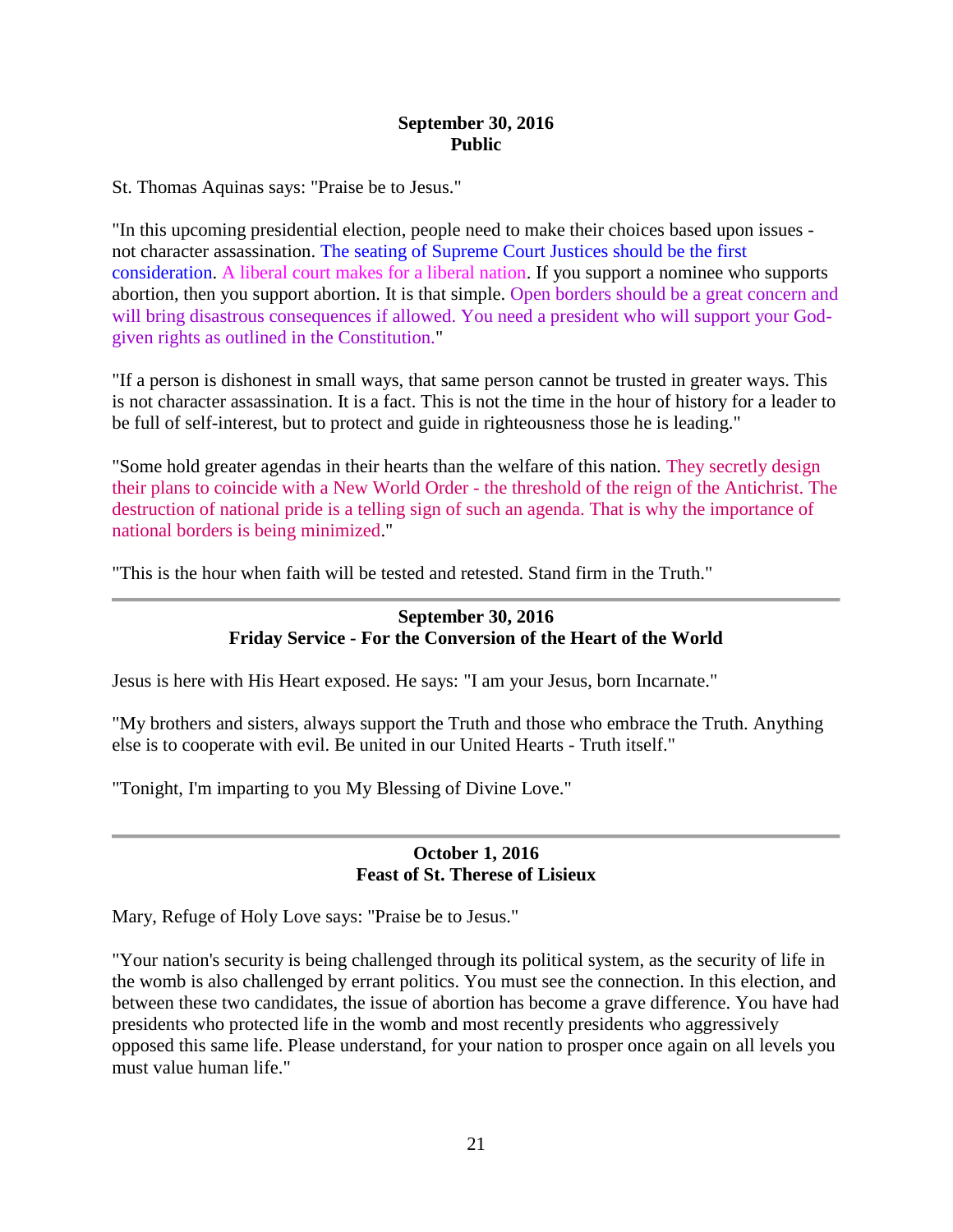### **September 30, 2016 Public**

St. Thomas Aquinas says: "Praise be to Jesus."

"In this upcoming presidential election, people need to make their choices based upon issues not character assassination. The seating of Supreme Court Justices should be the first consideration. A liberal court makes for a liberal nation. If you support a nominee who supports abortion, then you support abortion. It is that simple. Open borders should be a great concern and will bring disastrous consequences if allowed. You need a president who will support your Godgiven rights as outlined in the Constitution."

"If a person is dishonest in small ways, that same person cannot be trusted in greater ways. This is not character assassination. It is a fact. This is not the time in the hour of history for a leader to be full of self-interest, but to protect and guide in righteousness those he is leading."

"Some hold greater agendas in their hearts than the welfare of this nation. They secretly design their plans to coincide with a New World Order - the threshold of the reign of the Antichrist. The destruction of national pride is a telling sign of such an agenda. That is why the importance of national borders is being minimized."

"This is the hour when faith will be tested and retested. Stand firm in the Truth."

### **September 30, 2016 Friday Service - For the Conversion of the Heart of the World**

Jesus is here with His Heart exposed. He says: "I am your Jesus, born Incarnate."

"My brothers and sisters, always support the Truth and those who embrace the Truth. Anything else is to cooperate with evil. Be united in our United Hearts - Truth itself."

"Tonight, I'm imparting to you My Blessing of Divine Love."

#### **October 1, 2016 Feast of St. Therese of Lisieux**

Mary, Refuge of Holy Love says: "Praise be to Jesus."

"Your nation's security is being challenged through its political system, as the security of life in the womb is also challenged by errant politics. You must see the connection. In this election, and between these two candidates, the issue of abortion has become a grave difference. You have had presidents who protected life in the womb and most recently presidents who aggressively opposed this same life. Please understand, for your nation to prosper once again on all levels you must value human life."